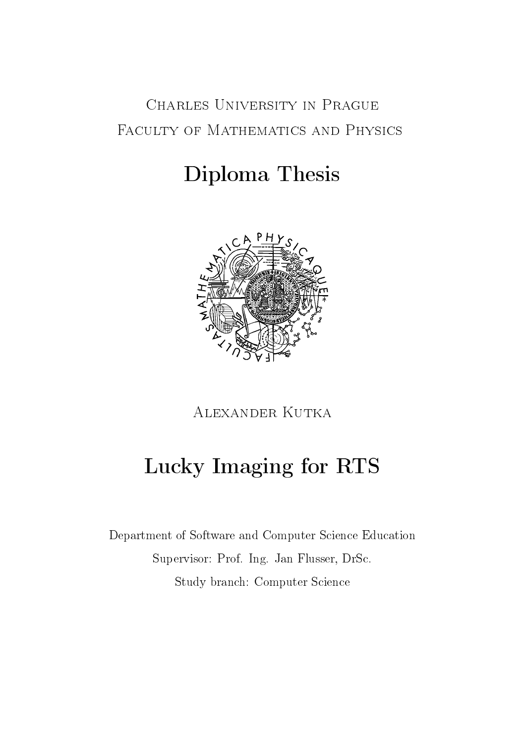# Charles University in Prague FACULTY OF MATHEMATICS AND PHYSICS

# Diploma Thesis



Alexander Kutka

# Lucky Imaging for RTS

Department of Software and Computer Science Education Supervisor: Prof. Ing. Jan Flusser, DrSc. Study branch: Computer Science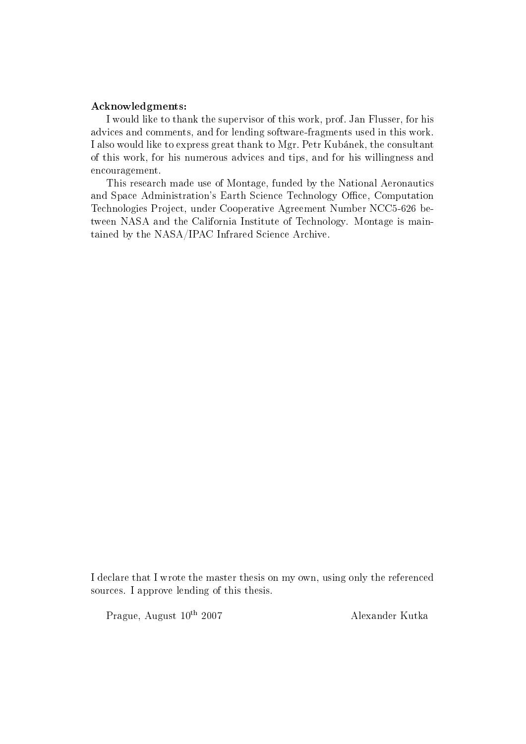#### Acknowledgments:

I would like to thank the supervisor of this work, prof. Jan Flusser, for his advices and comments, and for lending software-fragments used in this work. I also would like to express great thank to Mgr. Petr Kubánek, the consultant of this work, for his numerous advices and tips, and for his willingness and encouragement.

This research made use of Montage, funded by the National Aeronautics and Space Administration's Earth Science Technology Office, Computation Technologies Project, under Cooperative Agreement Number NCC5-626 between NASA and the California Institute of Technology. Montage is maintained by the NASA/IPAC Infrared Science Archive.

I declare that I wrote the master thesis on my own, using only the referenced sources. I approve lending of this thesis.

Prague, August 10<sup>th</sup> 2007 Alexander Kutka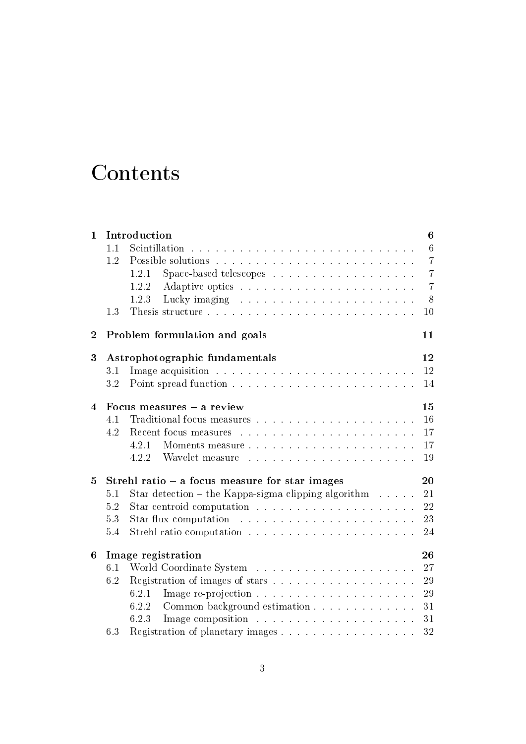# **Contents**

| $\mathbf{1}$   |                                                        | Introduction                                                          | 6               |  |  |  |  |
|----------------|--------------------------------------------------------|-----------------------------------------------------------------------|-----------------|--|--|--|--|
|                | 1.1                                                    |                                                                       | $6\phantom{.}6$ |  |  |  |  |
|                | 1.2                                                    |                                                                       | $\overline{7}$  |  |  |  |  |
|                |                                                        | 1.2.1                                                                 | $\overline{7}$  |  |  |  |  |
|                |                                                        | 1.2.2                                                                 | $\overline{7}$  |  |  |  |  |
|                |                                                        | 1.2.3                                                                 | 8               |  |  |  |  |
|                | 1.3                                                    |                                                                       | 10              |  |  |  |  |
| $\overline{2}$ |                                                        | Problem formulation and goals                                         | 11              |  |  |  |  |
| 3              |                                                        | Astrophotographic fundamentals                                        | 12              |  |  |  |  |
|                | 3.1                                                    |                                                                       | 12              |  |  |  |  |
|                | 3.2                                                    |                                                                       | 14              |  |  |  |  |
| $\overline{4}$ |                                                        | Focus measures - a review                                             | 15              |  |  |  |  |
|                | 4.1                                                    |                                                                       | 16              |  |  |  |  |
|                | 4.2                                                    |                                                                       | 17              |  |  |  |  |
|                |                                                        | 4.2.1                                                                 | 17              |  |  |  |  |
|                |                                                        | 4.2.2                                                                 | 19              |  |  |  |  |
| 5              | 20<br>Strehl ratio $-$ a focus measure for star images |                                                                       |                 |  |  |  |  |
|                | 5.1                                                    | Star detection – the Kappa-sigma clipping algorithm $\dots$ .         | 21              |  |  |  |  |
|                | 5.2                                                    | Star centroid computation $\ldots \ldots \ldots \ldots \ldots \ldots$ | 22              |  |  |  |  |
|                | 5.3                                                    |                                                                       | 23              |  |  |  |  |
|                | 5.4                                                    |                                                                       | 24              |  |  |  |  |
| 6              |                                                        | Image registration                                                    | 26              |  |  |  |  |
|                | 6.1                                                    |                                                                       | 27              |  |  |  |  |
|                | 6.2                                                    |                                                                       | 29              |  |  |  |  |
|                |                                                        | 6.2.1                                                                 | 29              |  |  |  |  |
|                |                                                        | Common background estimation<br>6.2.2                                 | 31              |  |  |  |  |
|                |                                                        | 6.2.3                                                                 | 31              |  |  |  |  |
|                | 6.3                                                    | Registration of planetary images                                      | 32              |  |  |  |  |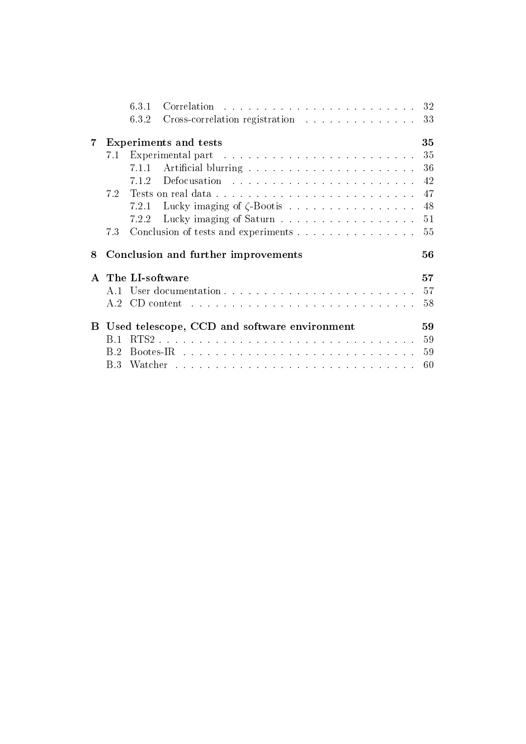|    |     | 6.3.1 |                                                                                                                                                                                                                                | 32 |
|----|-----|-------|--------------------------------------------------------------------------------------------------------------------------------------------------------------------------------------------------------------------------------|----|
|    |     | 6.3.2 | Cross-correlation registration                                                                                                                                                                                                 | 33 |
| 7  |     |       | <b>Experiments and tests</b>                                                                                                                                                                                                   | 35 |
|    | 7.1 |       |                                                                                                                                                                                                                                | 35 |
|    |     | 7.1.1 |                                                                                                                                                                                                                                | 36 |
|    |     | 7.1.2 |                                                                                                                                                                                                                                | 42 |
|    | 7.2 |       | Tests on real data                                                                                                                                                                                                             | 47 |
|    |     | 7.2.1 |                                                                                                                                                                                                                                | 48 |
|    |     | 7.2.2 |                                                                                                                                                                                                                                | 51 |
|    | 7.3 |       | Conclusion of tests and experiments                                                                                                                                                                                            | 55 |
| 8  |     |       | Conclusion and further improvements                                                                                                                                                                                            | 56 |
|    |     |       | The LI-software                                                                                                                                                                                                                | 57 |
|    | A.1 |       |                                                                                                                                                                                                                                | 57 |
|    | A 2 |       | CD content research resources in the content of the content of the content of the content of the content of the content of the content of the content of the content of the content of the content of the content of the conte | 58 |
| B. |     |       | Used telescope, CCD and software environment                                                                                                                                                                                   | 59 |
|    | B 1 |       |                                                                                                                                                                                                                                | 59 |
|    | B 2 |       |                                                                                                                                                                                                                                | 59 |
|    | B 3 |       |                                                                                                                                                                                                                                | 60 |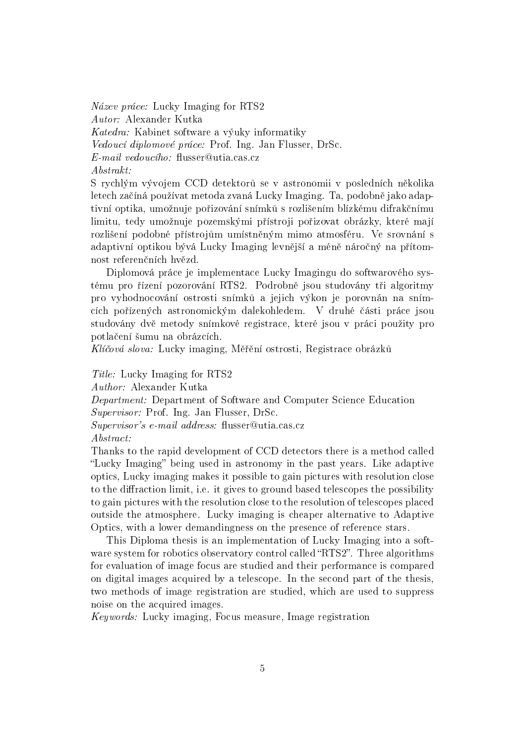Název práce: Lucky Imaging for RTS2 Autor: Alexander Kutka Katedra: Kabinet software a výuky informatiky Vedoucí diplomové práce: Prof. Ing. Jan Flusser, DrSc.  $E\text{-}mail\ vedoucího: \text{ fluxs}er@utia.cas.cz$ Abstrakt:

S rychlým vývojem CCD detektorů se v astronomii v posledních několika letech začíná používat metoda zvaná Lucky Imaging. Ta, podobně jako adaptivní optika, umožnuje pořizování snímků s rozlišením blízkému difrakčnímu limitu, tedy umožnuje pozemskými přístroji pořizovat obrázky, které mají rozlišení podobné přístrojům umístněným mimo atmosféru. Ve srovnání s adaptivní optikou bývá Lucky Imaging levnější a méně náročný na přítomnost referenčních hvězd.

Diplomová práce je implementace Lucky Imagingu do softwarového systému pro řízení pozorování RTS2. Podrobně jsou studovány tři algoritmy pro vyhodnocování ostrosti snímků a jejich výkon je porovnán na snímcích pořízených astronomickým dalekohledem. V druhé části práce jsou studovány dvě metody snímkové registrace, které jsou v práci použity pro potlačení šumu na obrázcích.

Klíčová slova: Lucky imaging, Měřění ostrosti, Registrace obrázků

Title: Lucky Imaging for RTS2

Author: Alexander Kutka

Department: Department of Software and Computer Science Education Supervisor: Prof. Ing. Jan Flusser, DrSc.

 $Supervisor's$  e-mail address: flusser@utia.cas.cz

Abstract:

Thanks to the rapid development of CCD detectors there is a method called "Lucky Imaging" being used in astronomy in the past years. Like adaptive optics, Lucky imaging makes it possible to gain pictures with resolution close to the diffraction limit, i.e. it gives to ground based telescopes the possibility to gain pictures with the resolution close to the resolution of telescopes placed outside the atmosphere. Lucky imaging is cheaper alternative to Adaptive Optics, with a lower demandingness on the presence of reference stars.

This Diploma thesis is an implementation of Lucky Imaging into a software system for robotics observatory control called "RTS2". Three algorithms for evaluation of image focus are studied and their performance is compared on digital images acquired by a telescope. In the second part of the thesis, two methods of image registration are studied, which are used to suppress noise on the acquired images.

Keywords: Lucky imaging, Focus measure, Image registration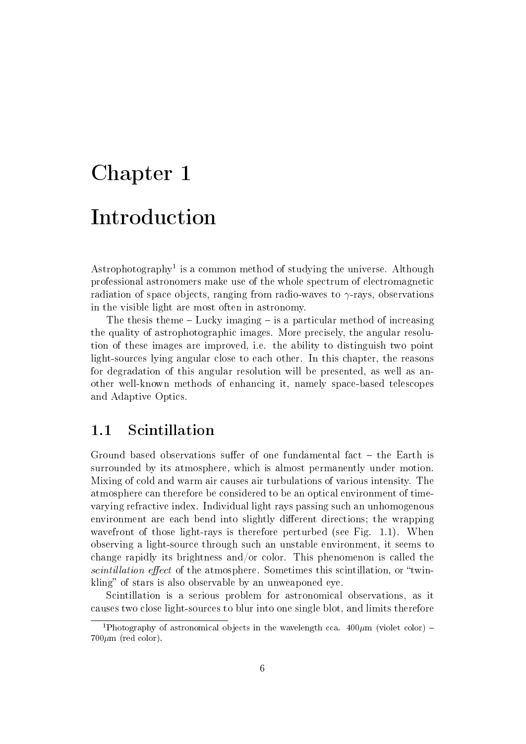# Chapter 1 Introduction

 $A$ strophotography<sup>1</sup> is a common method of studying the universe. Although professional astronomers make use of the whole spectrum of electromagnetic radiation of space objects, ranging from radio-waves to  $\gamma$ -rays, observations in the visible light are most often in astronomy.

The thesis theme  $-$  Lucky imaging  $-$  is a particular method of increasing the quality of astrophotographic images. More precisely, the angular resolution of these images are improved, i.e. the ability to distinguish two point light-sources lying angular close to each other. In this chapter, the reasons for degradation of this angular resolution will be presented, as well as another well-known methods of enhancing it, namely space-based telescopes and Adaptive Optics.

## 1.1 Scintillation

Ground based observations suffer of one fundamental fact  $-$  the Earth is surrounded by its atmosphere, which is almost permanently under motion. Mixing of cold and warm air causes air turbulations of various intensity. The atmosphere can therefore be considered to be an optical environment of timevarying refractive index. Individual light rays passing such an unhomogenous environment are each bend into slightly different directions; the wrapping wavefront of those light-rays is therefore perturbed (see Fig. 1.1). When observing a light-source through such an unstable environment, it seems to change rapidly its brightness and/or color. This phenomenon is called the scintillation effect of the atmosphere. Sometimes this scintillation, or "twinkling" of stars is also observable by an unweaponed eye.

Scintillation is a serious problem for astronomical observations, as it causes two close light-sources to blur into one single blot, and limits therefore

<sup>&</sup>lt;sup>1</sup>Photography of astronomical objects in the wavelength cca.  $400 \mu m$  (violet color) –  $700 \mu m$  (red color).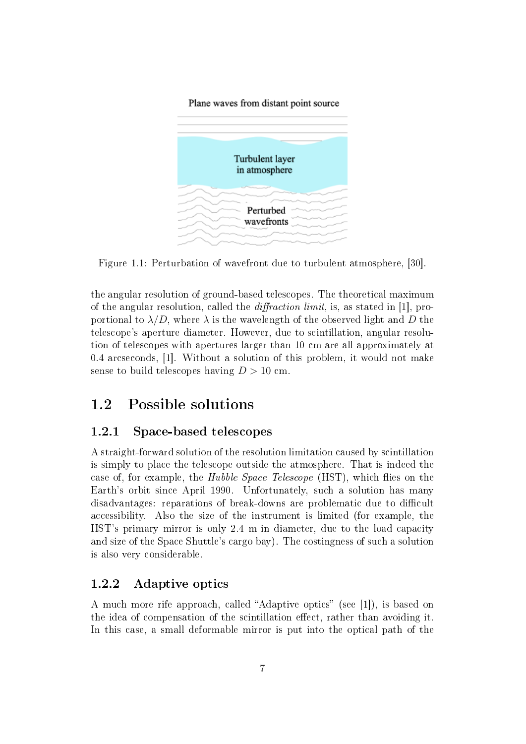Plane waves from distant point source



Figure 1.1: Perturbation of wavefront due to turbulent atmosphere, [30].

the angular resolution of ground-based telescopes. The theoretical maximum of the angular resolution, called the *diffraction limit*, is, as stated in [1], proportional to  $\lambda/D$ , where  $\lambda$  is the wavelength of the observed light and D the telescope's aperture diameter. However, due to scintillation, angular resolution of telescopes with apertures larger than 10 cm are all approximately at 0.4 arcseconds, [1]. Without a solution of this problem, it would not make sense to build telescopes having  $D > 10$  cm.

## 1.2 Possible solutions

#### 1.2.1 Space-based telescopes

A straight-forward solution of the resolution limitation caused by scintillation is simply to place the telescope outside the atmosphere. That is indeed the case of, for example, the *Hubble Space Telescope* (HST), which flies on the Earth's orbit since April 1990. Unfortunately, such a solution has many disadvantages: reparations of break-downs are problematic due to difficult accessibility. Also the size of the instrument is limited (for example, the HST's primary mirror is only 2.4 m in diameter, due to the load capacity and size of the Space Shuttle's cargo bay). The costingness of such a solution is also very considerable.

#### 1.2.2 Adaptive optics

A much more rife approach, called "Adaptive optics" (see [1]), is based on the idea of compensation of the scintillation effect, rather than avoiding it. In this case, a small deformable mirror is put into the optical path of the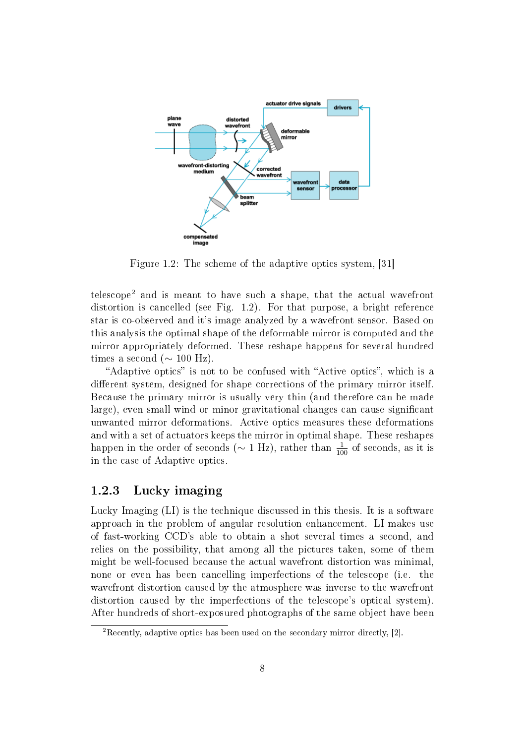

Figure 1.2: The scheme of the adaptive optics system, [31]

telescope<sup>2</sup> and is meant to have such a shape, that the actual wavefront distortion is cancelled (see Fig. 1.2). For that purpose, a bright reference star is co-observed and it's image analyzed by a wavefront sensor. Based on this analysis the optimal shape of the deformable mirror is computed and the mirror appropriately deformed. These reshape happens for several hundred times a second ( $\sim 100$  Hz).

"Adaptive optics" is not to be confused with "Active optics", which is a different system, designed for shape corrections of the primary mirror itself. Because the primary mirror is usually very thin (and therefore can be made large), even small wind or minor gravitational changes can cause signicant unwanted mirror deformations. Active optics measures these deformations and with a set of actuators keeps the mirror in optimal shape. These reshapes happen in the order of seconds ( $\sim 1$  Hz), rather than  $\frac{1}{100}$  of seconds, as it is in the case of Adaptive optics.

#### 1.2.3 Lucky imaging

Lucky Imaging (LI) is the technique discussed in this thesis. It is a software approach in the problem of angular resolution enhancement. LI makes use of fast-working CCD's able to obtain a shot several times a second, and relies on the possibility, that among all the pictures taken, some of them might be well-focused because the actual wavefront distortion was minimal, none or even has been cancelling imperfections of the telescope (i.e. the wavefront distortion caused by the atmosphere was inverse to the wavefront distortion caused by the imperfections of the telescope's optical system). After hundreds of short-exposured photographs of the same object have been

<sup>2</sup>Recently, adaptive optics has been used on the secondary mirror directly, [2].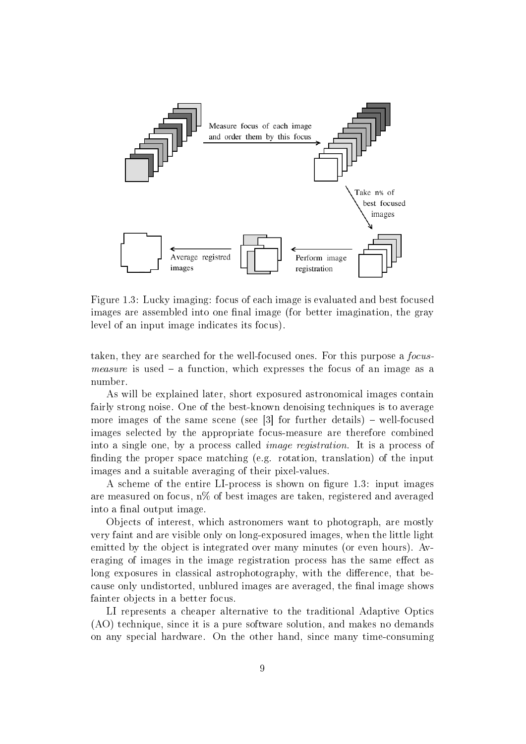

Figure 1.3: Lucky imaging: focus of each image is evaluated and best focused images are assembled into one final image (for better imagination, the gray level of an input image indicates its focus).

taken, they are searched for the well-focused ones. For this purpose a focus*measure* is used  $-$  a function, which expresses the focus of an image as a number.

As will be explained later, short exposured astronomical images contain fairly strong noise. One of the best-known denoising techniques is to average more images of the same scene (see  $\lceil 3 \rceil$  for further details) – well-focused images selected by the appropriate focus-measure are therefore combined into a single one, by a process called image registration. It is a process of finding the proper space matching (e.g. rotation, translation) of the input images and a suitable averaging of their pixel-values.

A scheme of the entire LI-process is shown on figure 1.3: input images are measured on focus, n% of best images are taken, registered and averaged into a final output image.

Objects of interest, which astronomers want to photograph, are mostly very faint and are visible only on long-exposured images, when the little light emitted by the object is integrated over many minutes (or even hours). Averaging of images in the image registration process has the same effect as long exposures in classical astrophotography, with the difference, that because only undistorted, unblured images are averaged, the final image shows fainter objects in a better focus.

LI represents a cheaper alternative to the traditional Adaptive Optics (AO) technique, since it is a pure software solution, and makes no demands on any special hardware. On the other hand, since many time-consuming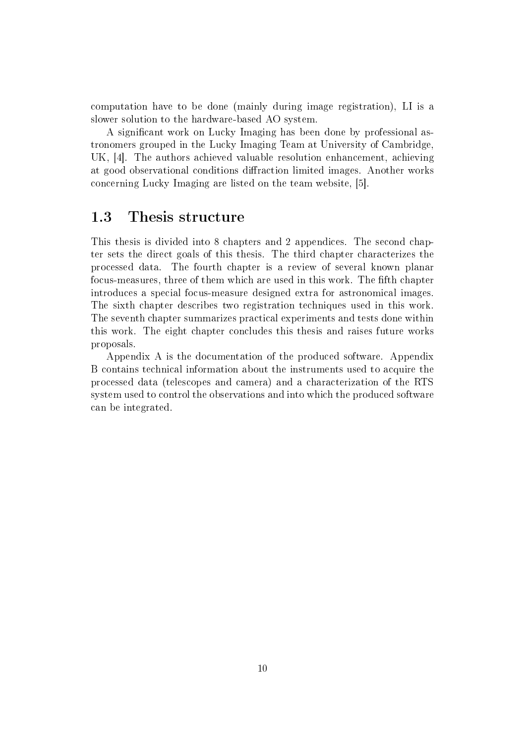computation have to be done (mainly during image registration), LI is a slower solution to the hardware-based AO system.

A significant work on Lucky Imaging has been done by professional astronomers grouped in the Lucky Imaging Team at University of Cambridge, UK, [4]. The authors achieved valuable resolution enhancement, achieving at good observational conditions diffraction limited images. Another works concerning Lucky Imaging are listed on the team website, [5].

## 1.3 Thesis structure

This thesis is divided into 8 chapters and 2 appendices. The second chapter sets the direct goals of this thesis. The third chapter characterizes the processed data. The fourth chapter is a review of several known planar focus-measures, three of them which are used in this work. The fth chapter introduces a special focus-measure designed extra for astronomical images. The sixth chapter describes two registration techniques used in this work. The seventh chapter summarizes practical experiments and tests done within this work. The eight chapter concludes this thesis and raises future works proposals.

Appendix A is the documentation of the produced software. Appendix B contains technical information about the instruments used to acquire the processed data (telescopes and camera) and a characterization of the RTS system used to control the observations and into which the produced software can be integrated.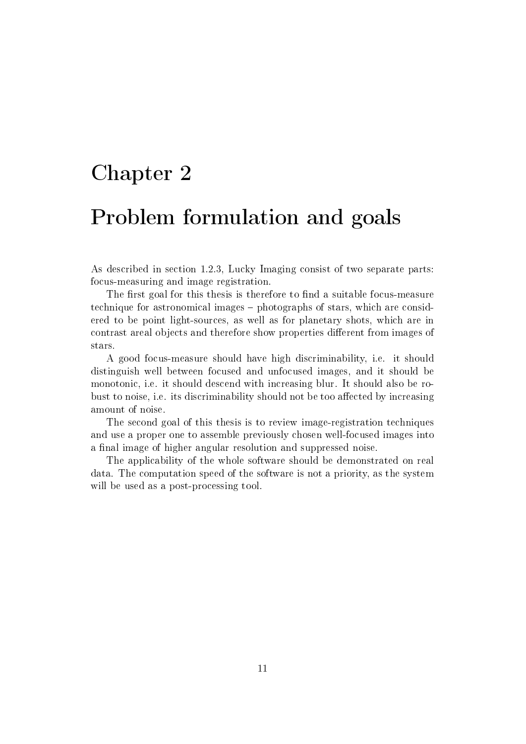# Chapter 2

# Problem formulation and goals

As described in section 1.2.3, Lucky Imaging consist of two separate parts: focus-measuring and image registration.

The first goal for this thesis is therefore to find a suitable focus-measure technique for astronomical images – photographs of stars, which are considered to be point light-sources, as well as for planetary shots, which are in contrast areal objects and therefore show properties different from images of stars.

A good focus-measure should have high discriminability, i.e. it should distinguish well between focused and unfocused images, and it should be monotonic, i.e. it should descend with increasing blur. It should also be robust to noise, i.e. its discriminability should not be too affected by increasing amount of noise.

The second goal of this thesis is to review image-registration techniques and use a proper one to assemble previously chosen well-focused images into a final image of higher angular resolution and suppressed noise.

The applicability of the whole software should be demonstrated on real data. The computation speed of the software is not a priority, as the system will be used as a post-processing tool.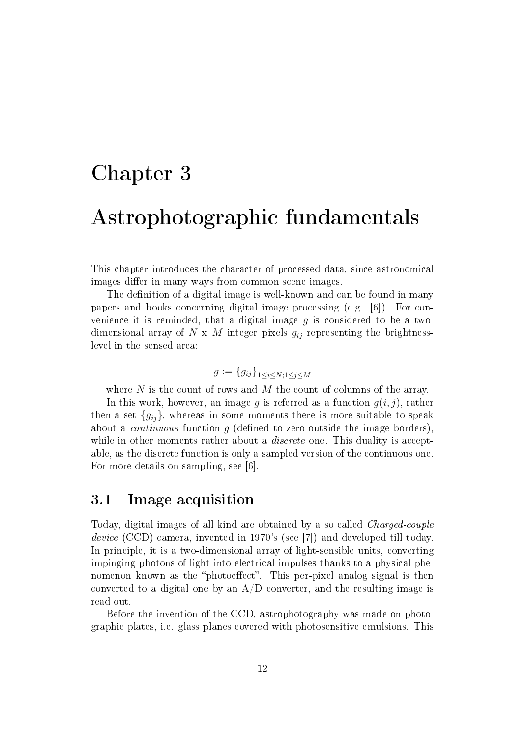# Chapter 3

## Astrophotographic fundamentals

This chapter introduces the character of processed data, since astronomical images differ in many ways from common scene images.

The definition of a digital image is well-known and can be found in many papers and books concerning digital image processing (e.g. [6]). For convenience it is reminded, that a digital image  $g$  is considered to be a twodimensional array of N x M integer pixels  $g_{ij}$  representing the brightnesslevel in the sensed area:

$$
g := \{g_{ij}\}_{1 \le i \le N; 1 \le j \le M}
$$

where  $N$  is the count of rows and  $M$  the count of columns of the array.

In this work, however, an image g is referred as a function  $g(i, j)$ , rather then a set  ${g_{ij}}$ , whereas in some moments there is more suitable to speak about a *continuous* function  $g$  (defined to zero outside the image borders). while in other moments rather about a *discrete* one. This duality is acceptable, as the discrete function is only a sampled version of the continuous one. For more details on sampling, see [6].

## 3.1 Image acquisition

Today, digital images of all kind are obtained by a so called Charged-couple device (CCD) camera, invented in 1970's (see [7]) and developed till today. In principle, it is a two-dimensional array of light-sensible units, converting impinging photons of light into electrical impulses thanks to a physical phenomenon known as the "photoeffect". This per-pixel analog signal is then converted to a digital one by an  $A/D$  converter, and the resulting image is read out.

Before the invention of the CCD, astrophotography was made on photographic plates, i.e. glass planes covered with photosensitive emulsions. This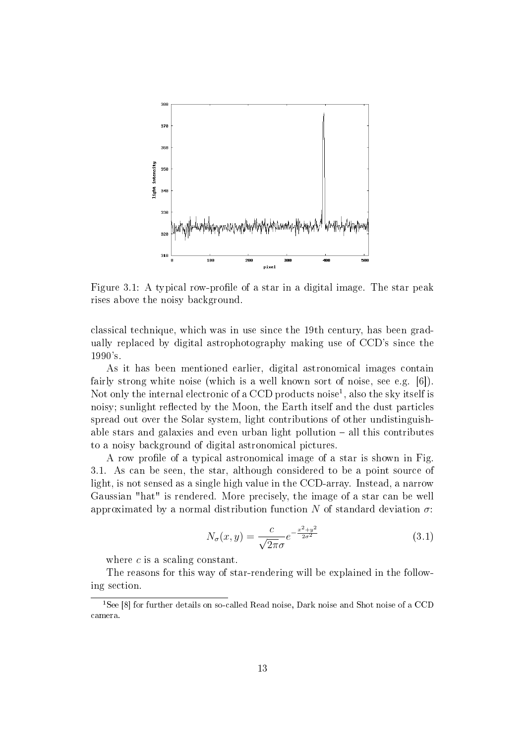

Figure 3.1: A typical row-profile of a star in a digital image. The star peak rises above the noisy background.

classical technique, which was in use since the 19th century, has been gradually replaced by digital astrophotography making use of CCD's since the 1990's.

As it has been mentioned earlier, digital astronomical images contain fairly strong white noise (which is a well known sort of noise, see e.g. [6]). Not only the internal electronic of a CCD products noise<sup>1</sup>, also the sky itself is noisy; sunlight reflected by the Moon, the Earth itself and the dust particles spread out over the Solar system, light contributions of other undistinguishable stars and galaxies and even urban light pollution  $-$  all this contributes to a noisy background of digital astronomical pictures.

A row profile of a typical astronomical image of a star is shown in Fig. 3.1. As can be seen, the star, although considered to be a point source of light, is not sensed as a single high value in the CCD-array. Instead, a narrow Gaussian "hat" is rendered. More precisely, the image of a star can be well approximated by a normal distribution function N of standard deviation  $\sigma$ :

$$
N_{\sigma}(x,y) = \frac{c}{\sqrt{2\pi}\sigma} e^{-\frac{x^2 + y^2}{2\sigma^2}}
$$
(3.1)

where  $c$  is a scaling constant.

The reasons for this way of star-rendering will be explained in the following section.

<sup>&</sup>lt;sup>1</sup>See [8] for further details on so-called Read noise, Dark noise and Shot noise of a CCD camera.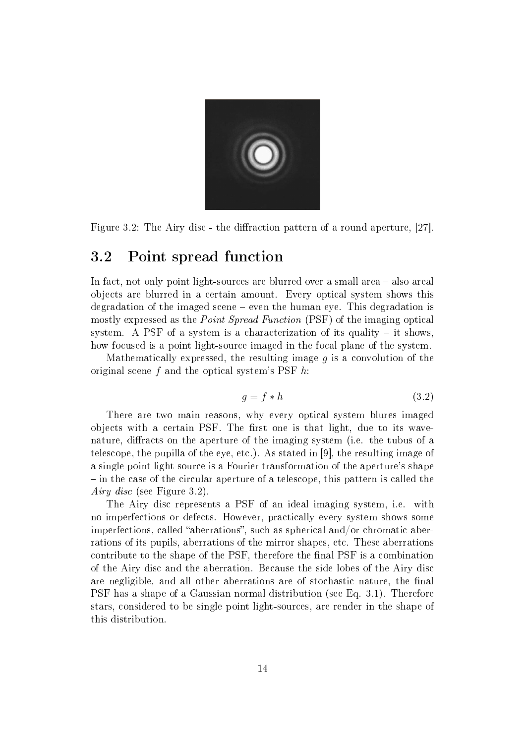

Figure 3.2: The Airy disc - the diffraction pattern of a round aperture,  $[27]$ .

## 3.2 Point spread function

In fact, not only point light-sources are blurred over a small area  $-$  also areal objects are blurred in a certain amount. Every optical system shows this degradation of the imaged scene even the human eye. This degradation is mostly expressed as the *Point Spread Function* (PSF) of the imaging optical system. A PSF of a system is a characterization of its quality  $-$  it shows, how focused is a point light-source imaged in the focal plane of the system.

Mathematically expressed, the resulting image  $g$  is a convolution of the original scene f and the optical system's PSF h:

$$
g = f * h \tag{3.2}
$$

There are two main reasons, why every optical system blures imaged objects with a certain PSF. The first one is that light, due to its wavenature, diffracts on the aperture of the imaging system (i.e. the tubus of a telescope, the pupilla of the eye, etc.). As stated in [9], the resulting image of a single point light-source is a Fourier transformation of the aperture's shape  $\overline{\phantom{a}}$  in the case of the circular aperture of a telescope, this pattern is called the Airy disc (see Figure 3.2).

The Airy disc represents a PSF of an ideal imaging system, i.e. with no imperfections or defects. However, practically every system shows some imperfections, called "aberrations", such as spherical and/or chromatic aberrations of its pupils, aberrations of the mirror shapes, etc. These aberrations contribute to the shape of the PSF, therefore the final PSF is a combination of the Airy disc and the aberration. Because the side lobes of the Airy disc are negligible, and all other aberrations are of stochastic nature, the final PSF has a shape of a Gaussian normal distribution (see Eq. 3.1). Therefore stars, considered to be single point light-sources, are render in the shape of this distribution.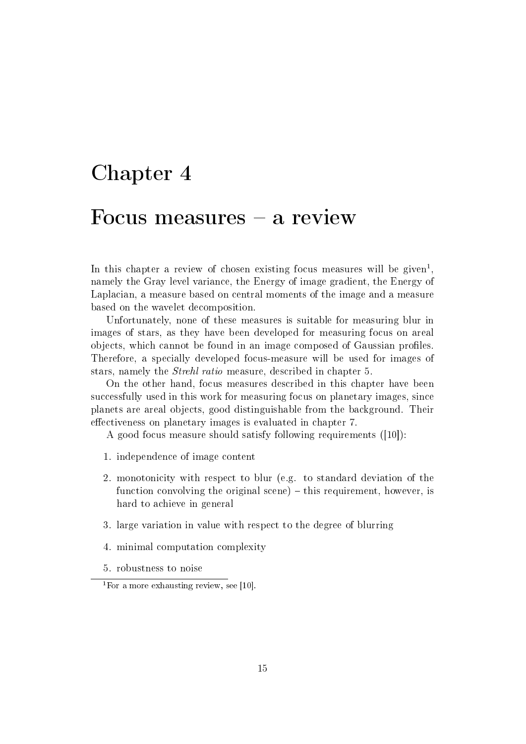# Chapter 4

## Focus measures  $-$  a review

In this chapter a review of chosen existing focus measures will be given<sup>1</sup>, namely the Gray level variance, the Energy of image gradient, the Energy of Laplacian, a measure based on central moments of the image and a measure based on the wavelet decomposition.

Unfortunately, none of these measures is suitable for measuring blur in images of stars, as they have been developed for measuring focus on areal objects, which cannot be found in an image composed of Gaussian profiles. Therefore, a specially developed focus-measure will be used for images of stars, namely the Strehl ratio measure, described in chapter 5.

On the other hand, focus measures described in this chapter have been successfully used in this work for measuring focus on planetary images, since planets are areal objects, good distinguishable from the background. Their effectiveness on planetary images is evaluated in chapter 7.

A good focus measure should satisfy following requirements ([10]):

- 1. independence of image content
- 2. monotonicity with respect to blur (e.g. to standard deviation of the function convolving the original scene)  $-$  this requirement, however, is hard to achieve in general
- 3. large variation in value with respect to the degree of blurring
- 4. minimal computation complexity
- 5. robustness to noise

<sup>&</sup>lt;sup>1</sup>For a more exhausting review, see [10].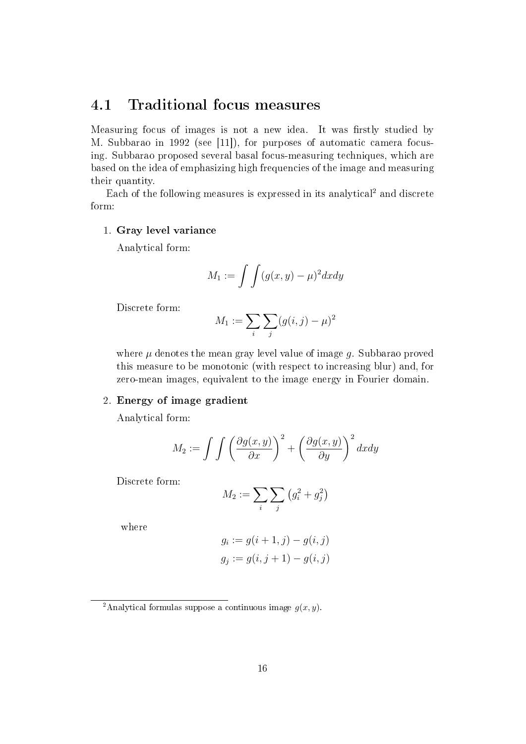## 4.1 Traditional focus measures

Measuring focus of images is not a new idea. It was firstly studied by M. Subbarao in 1992 (see [11]), for purposes of automatic camera focusing. Subbarao proposed several basal focus-measuring techniques, which are based on the idea of emphasizing high frequencies of the image and measuring their quantity.

Each of the following measures is expressed in its analytical<sup>2</sup> and discrete form:

#### 1. Gray level variance

Analytical form:

$$
M_1 := \int \int (g(x, y) - \mu)^2 dx dy
$$

Discrete form:

$$
M_1 := \sum_{i} \sum_{j} (g(i, j) - \mu)^2
$$

where  $\mu$  denotes the mean gray level value of image q. Subbarao proved this measure to be monotonic (with respect to increasing blur) and, for zero-mean images, equivalent to the image energy in Fourier domain.

#### 2. Energy of image gradient

Analytical form:

$$
M_2 := \int \int \left(\frac{\partial g(x, y)}{\partial x}\right)^2 + \left(\frac{\partial g(x, y)}{\partial y}\right)^2 dx dy
$$

Discrete form:

$$
M_2 := \sum_i \sum_j \left( g_i^2 + g_j^2 \right)
$$

where

$$
g_i := g(i + 1, j) - g(i, j)
$$
  

$$
g_j := g(i, j + 1) - g(i, j)
$$

<sup>&</sup>lt;sup>2</sup>Analytical formulas suppose a continuous image  $g(x, y)$ .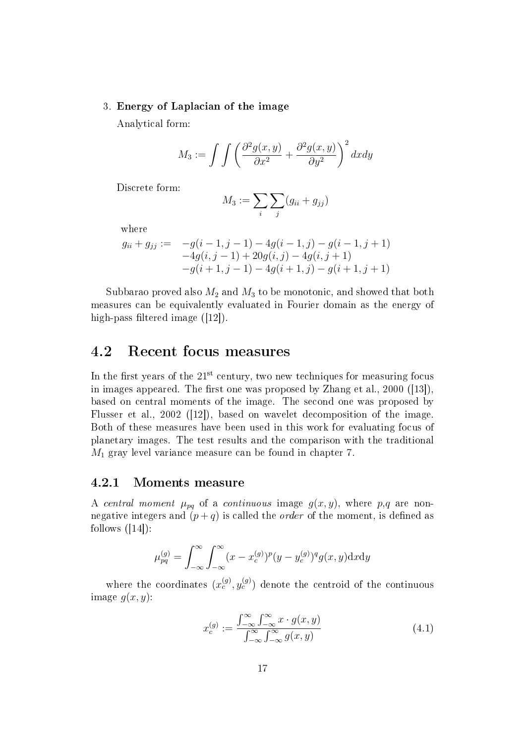#### 3. Energy of Laplacian of the image

Analytical form:

$$
M_3 := \int \int \left( \frac{\partial^2 g(x, y)}{\partial x^2} + \frac{\partial^2 g(x, y)}{\partial y^2} \right)^2 dx dy
$$

Discrete form:

$$
M_3 := \sum_i \sum_j (g_{ii} + g_{jj})
$$

where

$$
g_{ii} + g_{jj} := -g(i-1, j-1) - 4g(i-1, j) - g(i-1, j+1)
$$
  
-4g(i, j-1) + 20g(i, j) - 4g(i, j+1)  
-g(i+1, j-1) - 4g(i+1, j) - g(i+1, j+1)

Subbarao proved also  $M_2$  and  $M_3$  to be monotonic, and showed that both measures can be equivalently evaluated in Fourier domain as the energy of high-pass filtered image  $([12])$ .

## 4.2 Recent focus measures

In the first years of the  $21<sup>st</sup>$  century, two new techniques for measuring focus in images appeared. The first one was proposed by Zhang et al.,  $2000$  ([13]). based on central moments of the image. The second one was proposed by Flusser et al., 2002 ([12]), based on wavelet decomposition of the image. Both of these measures have been used in this work for evaluating focus of planetary images. The test results and the comparison with the traditional  $M_1$  gray level variance measure can be found in chapter 7.

#### 4.2.1 Moments measure

A central moment  $\mu_{pq}$  of a continuous image  $g(x, y)$ , where  $p, q$  are nonnegative integers and  $(p+q)$  is called the *order* of the moment, is defined as follows  $([14])$ :

$$
\mu_{pq}^{(g)} = \int_{-\infty}^{\infty} \int_{-\infty}^{\infty} (x - x_c^{(g)})^p (y - y_c^{(g)})^q g(x, y) \mathrm{d}x \mathrm{d}y
$$

where the coordinates  $(x_c^{(g)}, y_c^{(g)})$  denote the centroid of the continuous image  $q(x, y)$ :

$$
x_c^{(g)} := \frac{\int_{-\infty}^{\infty} \int_{-\infty}^{\infty} x \cdot g(x, y)}{\int_{-\infty}^{\infty} \int_{-\infty}^{\infty} g(x, y)}
$$
(4.1)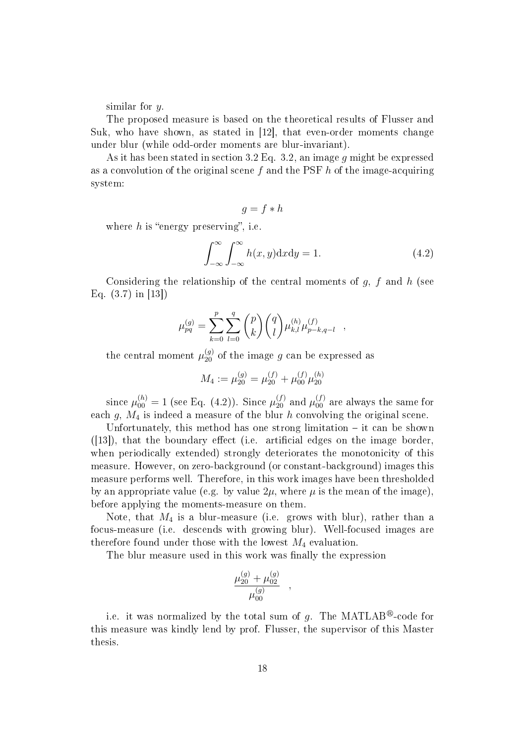similar for y.

The proposed measure is based on the theoretical results of Flusser and Suk, who have shown, as stated in [12], that even-order moments change under blur (while odd-order moments are blur-invariant).

As it has been stated in section 3.2 Eq. 3.2, an image q might be expressed as a convolution of the original scene f and the PSF  $h$  of the image-acquiring system:

$$
g = f * h
$$

where  $h$  is "energy preserving", i.e.

$$
\int_{-\infty}^{\infty} \int_{-\infty}^{\infty} h(x, y) \, dx \, dy = 1. \tag{4.2}
$$

,

Considering the relationship of the central moments of  $g$ ,  $f$  and  $h$  (see Eq. (3.7) in [13])

$$
\mu_{pq}^{(g)} = \sum_{k=0}^{p} \sum_{l=0}^{q} {p \choose k} {q \choose l} \mu_{k,l}^{(h)} \mu_{p-k,q-l}^{(f)}
$$

the central moment  $\mu_{20}^{(g)}$  of the image g can be expressed as

$$
M_4 := \mu_{20}^{(g)} = \mu_{20}^{(f)} + \mu_{00}^{(f)}\mu_{20}^{(h)}
$$

since  $\mu_{00}^{(h)}=1$  (see Eq. (4.2)). Since  $\mu_{20}^{(f)}$  and  $\mu_{00}^{(f)}$  are always the same for each g,  $M_4$  is indeed a measure of the blur h convolving the original scene.

Unfortunately, this method has one strong limitation  $-$  it can be shown  $([13])$ , that the boundary effect (i.e. artificial edges on the image border, when periodically extended) strongly deteriorates the monotonicity of this measure. However, on zero-background (or constant-background) images this measure performs well. Therefore, in this work images have been thresholded by an appropriate value (e.g. by value  $2\mu$ , where  $\mu$  is the mean of the image). before applying the moments-measure on them.

Note, that  $M_4$  is a blur-measure (i.e. grows with blur), rather than a focus-measure (i.e. descends with growing blur). Well-focused images are therefore found under those with the lowest  $M_4$  evaluation.

The blur measure used in this work was finally the expression

$$
\frac{\mu_{20}^{(g)} + \mu_{02}^{(g)}}{\mu_{00}^{(g)}}
$$

,

i.e. it was normalized by the total sum of q. The MATLAB<sup>®</sup>-code for this measure was kindly lend by prof. Flusser, the supervisor of this Master thesis.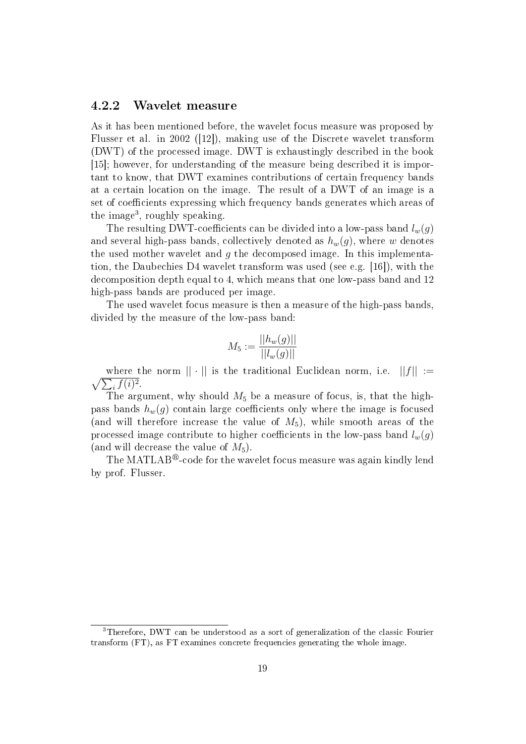#### 4.2.2 Wavelet measure

As it has been mentioned before, the wavelet focus measure was proposed by Flusser et al. in 2002 ([12]), making use of the Discrete wavelet transform (DWT) of the processed image. DWT is exhaustingly described in the book [15]; however, for understanding of the measure being described it is important to know, that DWT examines contributions of certain frequency bands at a certain location on the image. The result of a DWT of an image is a set of coefficients expressing which frequency bands generates which areas of the image<sup>3</sup>, roughly speaking.

The resulting DWT-coefficients can be divided into a low-pass band  $l_w(q)$ and several high-pass bands, collectively denoted as  $h_w(g)$ , where w denotes the used mother wavelet and  $g$  the decomposed image. In this implementation, the Daubechies D4 wavelet transform was used (see e.g. [16]), with the decomposition depth equal to 4, which means that one low-pass band and 12 high-pass bands are produced per image.

The used wavelet focus measure is then a measure of the high-pass bands, divided by the measure of the low-pass band:

$$
M_5 := \frac{||h_w(g)||}{||l_w(g)||}
$$

 $\sqrt{\sum_i f(i)^2}$ . where the norm  $|| \cdot ||$  is the traditional Euclidean norm, i.e.  $||f|| :=$ 

The argument, why should  $M_5$  be a measure of focus, is, that the highpass bands  $h_w(g)$  contain large coefficients only where the image is focused (and will therefore increase the value of  $M_5$ ), while smooth areas of the processed image contribute to higher coefficients in the low-pass band  $l_w(g)$ (and will decrease the value of  $M_5$ ).

The MATLAB<sup>®</sup>-code for the wavelet focus measure was again kindly lend by prof. Flusser.

<sup>3</sup>Therefore, DWT can be understood as a sort of generalization of the classic Fourier transform (FT), as FT examines concrete frequencies generating the whole image.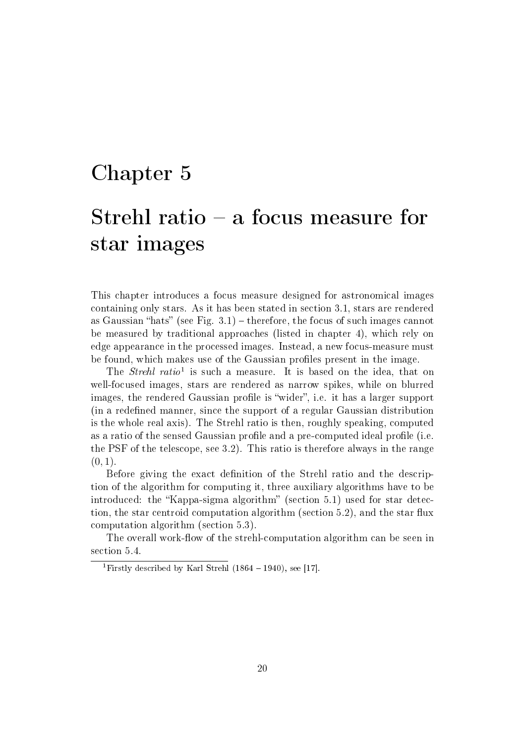# Chapter 5

# Strehl ratio  $-$  a focus measure for star images

This chapter introduces a focus measure designed for astronomical images containing only stars. As it has been stated in section 3.1, stars are rendered as Gaussian "hats" (see Fig.  $3.1$ ) – therefore, the focus of such images cannot be measured by traditional approaches (listed in chapter 4), which rely on edge appearance in the processed images. Instead, a new focus-measure must be found, which makes use of the Gaussian profiles present in the image.

The *Strehl ratio*<sup>1</sup> is such a measure. It is based on the idea, that on well-focused images, stars are rendered as narrow spikes, while on blurred images, the rendered Gaussian profile is "wider", i.e. it has a larger support (in a redefined manner, since the support of a regular Gaussian distribution is the whole real axis). The Strehl ratio is then, roughly speaking, computed as a ratio of the sensed Gaussian profile and a pre-computed ideal profile (i.e. the PSF of the telescope, see 3.2). This ratio is therefore always in the range  $(0, 1).$ 

Before giving the exact definition of the Strehl ratio and the description of the algorithm for computing it, three auxiliary algorithms have to be introduced: the "Kappa-sigma algorithm" (section 5.1) used for star detection, the star centroid computation algorithm (section 5.2), and the star flux computation algorithm (section 5.3).

The overall work-flow of the strehl-computation algorithm can be seen in section 5.4.

<sup>&</sup>lt;sup>1</sup>Firstly described by Karl Strehl  $(1864 - 1940)$ , see [17].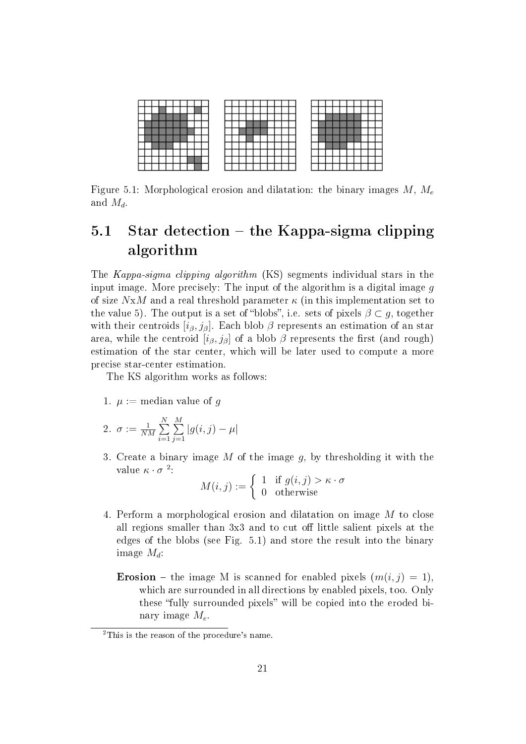

Figure 5.1: Morphological erosion and dilatation: the binary images  $M, M_e$ and  $M_d$ .

## 5.1 Star detection – the Kappa-sigma clipping algorithm

The Kappa-sigma clipping algorithm (KS) segments individual stars in the input image. More precisely: The input of the algorithm is a digital image  $q$ of size  $NxM$  and a real threshold parameter  $\kappa$  (in this implementation set to the value 5). The output is a set of "blobs", i.e. sets of pixels  $\beta \subset g$ , together with their centroids  $[i<sub>\beta</sub>, j<sub>\beta</sub>]$ . Each blob  $\beta$  represents an estimation of an star area, while the centroid  $[i_{\beta}, j_{\beta}]$  of a blob  $\beta$  represents the first (and rough) estimation of the star center, which will be later used to compute a more precise star-center estimation.

The KS algorithm works as follows:

1.  $\mu := \text{median value of } q$ 

2. 
$$
\sigma := \frac{1}{NM} \sum_{i=1}^{N} \sum_{j=1}^{M} |g(i, j) - \mu|
$$

3. Create a binary image  $M$  of the image  $q$ , by thresholding it with the value  $\kappa \cdot \sigma^2$ :

$$
M(i,j) := \begin{cases} 1 & \text{if } g(i,j) > \kappa \cdot \sigma \\ 0 & \text{otherwise} \end{cases}
$$

- 4. Perform a morphological erosion and dilatation on image M to close all regions smaller than 3x3 and to cut off little salient pixels at the edges of the blobs (see Fig. 5.1) and store the result into the binary image  $M_d$ :
	- **Erosion** the image M is scanned for enabled pixels  $(m(i, j) = 1)$ . which are surrounded in all directions by enabled pixels, too. Only these "fully surrounded pixels" will be copied into the eroded binary image  $M_e$ .

<sup>&</sup>lt;sup>2</sup>This is the reason of the procedure's name.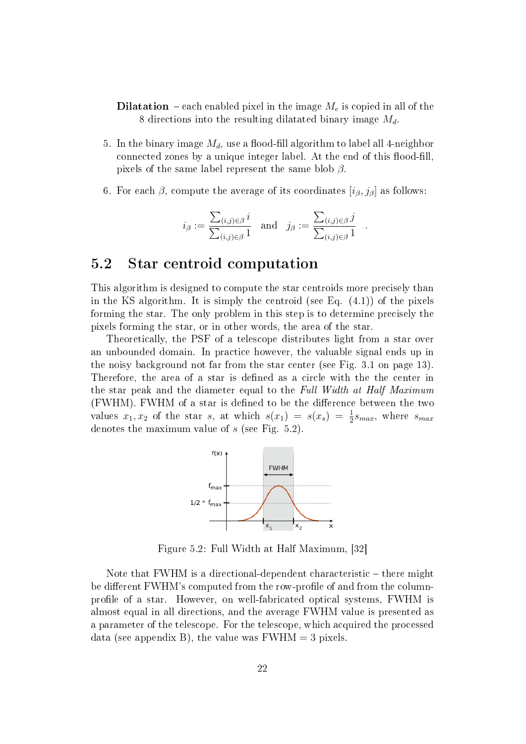- **Dilatation** each enabled pixel in the image  $M_e$  is copied in all of the 8 directions into the resulting dilatated binary image  $M_d$ .
- 5. In the binary image  $M_d$ , use a flood-fill algorithm to label all 4-neighbor connected zones by a unique integer label. At the end of this flood-fill, pixels of the same label represent the same blob  $\beta$ .
- 6. For each  $\beta$ , compute the average of its coordinates  $[i_{\beta}, j_{\beta}]$  as follows:

$$
i_{\beta} := \frac{\sum_{(i,j) \in \beta} i}{\sum_{(i,j) \in \beta} 1}
$$
 and  $j_{\beta} := \frac{\sum_{(i,j) \in \beta} j}{\sum_{(i,j) \in \beta} 1}$ 

.

## 5.2 Star centroid computation

This algorithm is designed to compute the star centroids more precisely than in the KS algorithm. It is simply the centroid (see Eq.  $(4.1)$ ) of the pixels forming the star. The only problem in this step is to determine precisely the pixels forming the star, or in other words, the area of the star.

Theoretically, the PSF of a telescope distributes light from a star over an unbounded domain. In practice however, the valuable signal ends up in the noisy background not far from the star center (see Fig. 3.1 on page 13). Therefore, the area of a star is defined as a circle with the the center in the star peak and the diameter equal to the Full Width at Half Maximum (FWHM). FWHM of a star is defined to be the difference between the two values  $x_1, x_2$  of the star s, at which  $s(x_1) = s(x_s) = \frac{1}{2} s_{max}$ , where  $s_{max}$ denotes the maximum value of s (see Fig. 5.2).



Figure 5.2: Full Width at Half Maximum, [32]

Note that FWHM is a directional-dependent characteristic – there might be different FWHM's computed from the row-profile of and from the columnprofile of a star. However, on well-fabricated optical systems, FWHM is almost equal in all directions, and the average FWHM value is presented as a parameter of the telescope. For the telescope, which acquired the processed data (see appendix B), the value was  $FWHM = 3$  pixels.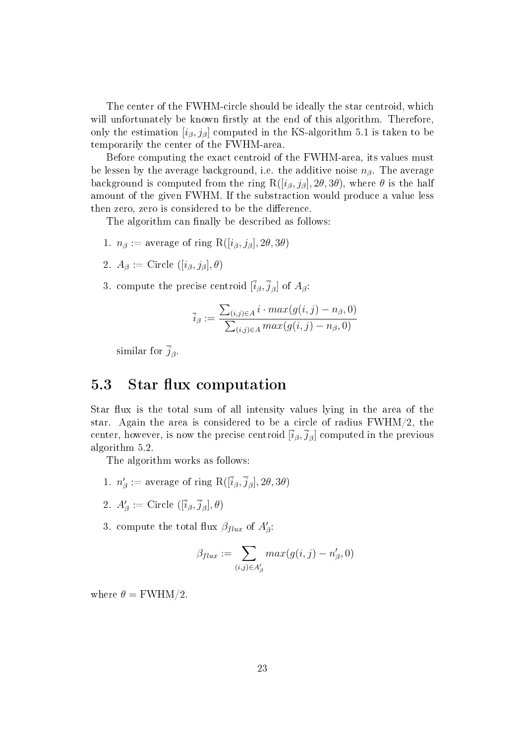The center of the FWHM-circle should be ideally the star centroid, which will unfortunately be known firstly at the end of this algorithm. Therefore, only the estimation  $[i<sub>\beta</sub>, j<sub>\beta</sub>]$  computed in the KS-algorithm 5.1 is taken to be temporarily the center of the FWHM-area.

Before computing the exact centroid of the FWHM-area, its values must be lessen by the average background, i.e. the additive noise  $n<sub>\beta</sub>$ . The average background is computed from the ring  $R([i_\beta, j_\beta], 2\theta, 3\theta)$ , where  $\theta$  is the half amount of the given FWHM. If the substraction would produce a value less then zero, zero is considered to be the difference.

The algorithm can finally be described as follows:

- 1.  $n_{\beta} := \text{average of ring } R([i_{\beta}, j_{\beta}], 2\theta, 3\theta)$
- 2.  $A_{\beta} :=$  Circle  $([i_{\beta}, j_{\beta}], \theta)$
- 3. compute the precise centroid  $[\bar{i}_{\beta}, \bar{j}_{\beta}]$  of  $A_{\beta}$ :

$$
\overline{i}_{\beta} := \frac{\sum_{(i,j)\in A} i \cdot max(g(i,j) - n_{\beta}, 0)}{\sum_{(i,j)\in A} max(g(i,j) - n_{\beta}, 0)}
$$

similar for  $\overline{j}_{\beta}$ .

## 5.3 Star flux computation

Star flux is the total sum of all intensity values lying in the area of the star. Again the area is considered to be a circle of radius  $FWHM/2$ , the center, however, is now the precise centroid  $[\overline{i}_{\beta},\overline{j}_{\beta}]$  computed in the previous algorithm 5.2.

The algorithm works as follows:

- 1.  $n'_{\beta} := \text{average of ring } \text{R}([\bar{i}_{\beta}, \bar{j}_{\beta}], 2\theta, 3\theta)$
- 2.  $A_{\beta}^{\prime} := \text{Circle } ([\overline{i}_{\beta}, \overline{j}_{\beta}], \theta)$
- 3. compute the total flux  $\beta_{flux}$  of  $A'_{\beta}$ :

$$
\beta_{flux} := \sum_{(i,j) \in A'_\beta} max(g(i,j) - n'_\beta, 0)
$$

where  $\theta = \text{FWHM}/2$ .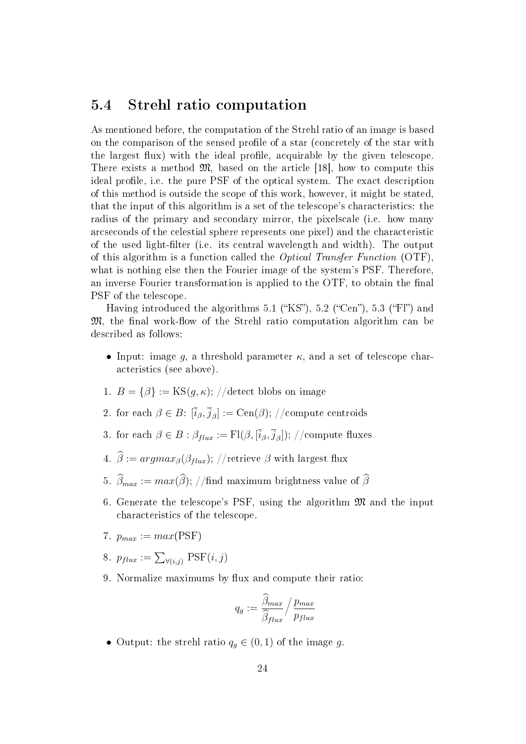## 5.4 Strehl ratio computation

As mentioned before, the computation of the Strehl ratio of an image is based on the comparison of the sensed profile of a star (concretely of the star with the largest flux) with the ideal profile, acquirable by the given telescope. There exists a method  $\mathfrak{M}$ , based on the article [18], how to compute this ideal profile, i.e. the pure PSF of the optical system. The exact description of this method is outside the scope of this work, however, it might be stated, that the input of this algorithm is a set of the telescope's characteristics: the radius of the primary and secondary mirror, the pixelscale (i.e. how many arcseconds of the celestial sphere represents one pixel) and the characteristic of the used light-filter (i.e. its central wavelength and width). The output of this algorithm is a function called the *Optical Transfer Function* (OTF). what is nothing else then the Fourier image of the system's PSF. Therefore, an inverse Fourier transformation is applied to the OTF, to obtain the final PSF of the telescope.

Having introduced the algorithms 5.1 ("KS"), 5.2 ("Cen"), 5.3 ("Fl") and  $\mathfrak{M}$ , the final work-flow of the Strehl ratio computation algorithm can be described as follows:

- Input: image g, a threshold parameter  $\kappa$ , and a set of telescope characteristics (see above).
- 1.  $B = \{\beta\} := \text{KS}(q, \kappa);$  //detect blobs on image
- 2. for each  $\beta \in B: [\overline{i}_{\beta}, \overline{j}_{\beta}] := \text{Cen}(\beta); //$ compute centroids
- 3. for each  $\beta \in B : \beta_{flux} := \mathrm{Fl}(\beta,[\overline{i}_{\beta},\overline{j}_{\beta}]);$  //compute fluxes
- 4.  $\widehat{\beta} := argmax_{\beta}(\beta_{flux});$  //retrieve  $\beta$  with largest flux
- 5.  $\widehat{\beta}_{max} := max(\widehat{\beta}); //\text{find maximum brightness value of } \widehat{\beta}$
- 6. Generate the telescope's PSF, using the algorithm  $\mathfrak{M}$  and the input characteristics of the telescope.
- 7.  $p_{max} := max(PSF)$
- 8.  $p_{flux} := \sum_{\forall (i,j)} \text{PSF}(i,j)$
- 9. Normalize maximums by flux and compute their ratio:

$$
q_g := \frac{\hat{\beta}_{max}}{\hat{\beta}_{flux}} / \frac{p_{max}}{p_{flux}}
$$

• Output: the strehl ratio  $q_g \in (0,1)$  of the image g.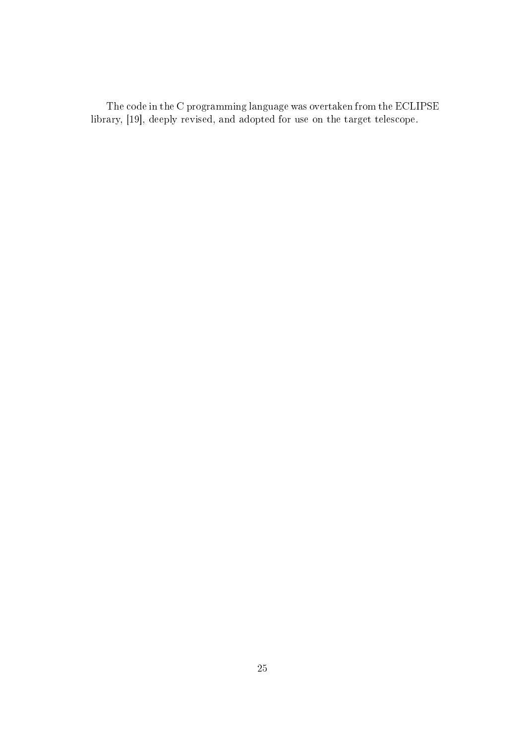The code in the C programming language was overtaken from the ECLIPSE library, [19], deeply revised, and adopted for use on the target telescope.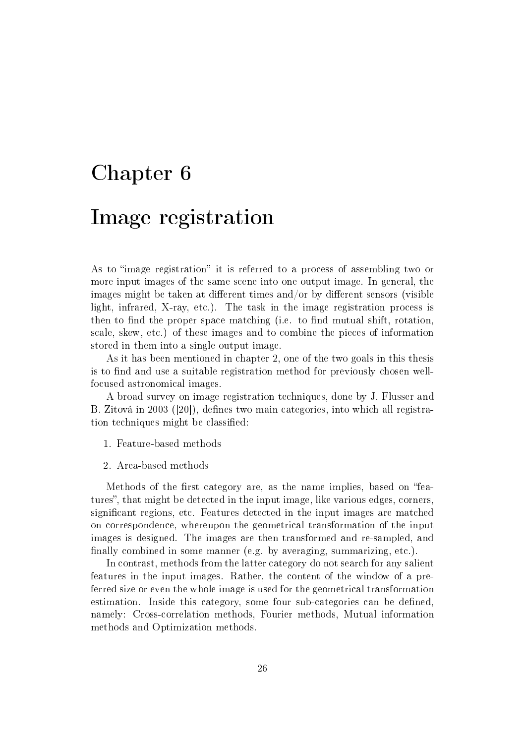# Chapter 6

## Image registration

As to "image registration" it is referred to a process of assembling two or more input images of the same scene into one output image. In general, the images might be taken at different times and/or by different sensors (visible light, infrared, X-ray, etc.). The task in the image registration process is then to find the proper space matching (i.e. to find mutual shift, rotation, scale, skew, etc.) of these images and to combine the pieces of information stored in them into a single output image.

As it has been mentioned in chapter 2, one of the two goals in this thesis is to find and use a suitable registration method for previously chosen wellfocused astronomical images.

A broad survey on image registration techniques, done by J. Flusser and B. Zitová in 2003 ([20]), defines two main categories, into which all registration techniques might be classified:

- 1. Feature-based methods
- 2. Area-based methods

Methods of the first category are, as the name implies, based on "features", that might be detected in the input image, like various edges, corners, signicant regions, etc. Features detected in the input images are matched on correspondence, whereupon the geometrical transformation of the input images is designed. The images are then transformed and re-sampled, and finally combined in some manner (e.g. by averaging, summarizing, etc.).

In contrast, methods from the latter category do not search for any salient features in the input images. Rather, the content of the window of a preferred size or even the whole image is used for the geometrical transformation estimation. Inside this category, some four sub-categories can be defined, namely: Cross-correlation methods, Fourier methods, Mutual information methods and Optimization methods.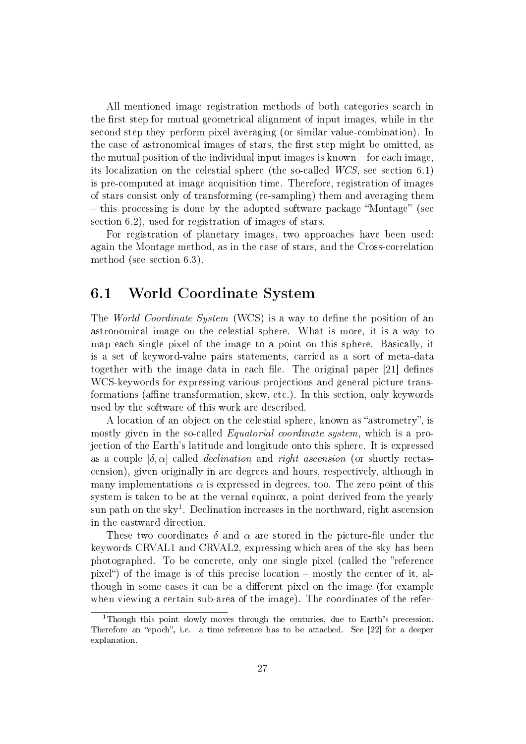All mentioned image registration methods of both categories search in the first step for mutual geometrical alignment of input images, while in the second step they perform pixel averaging (or similar value-combination). In the case of astronomical images of stars, the first step might be omitted, as the mutual position of the individual input images is known  $-$  for each image. its localization on the celestial sphere (the so-called WCS, see section 6.1) is pre-computed at image acquisition time. Therefore, registration of images of stars consist only of transforming (re-sampling) them and averaging them  $-$  this processing is done by the adopted software package "Montage" (see section 6.2), used for registration of images of stars.

For registration of planetary images, two approaches have been used: again the Montage method, as in the case of stars, and the Cross-correlation method (see section 6.3).

## 6.1 World Coordinate System

The World Coordinate System (WCS) is a way to define the position of an astronomical image on the celestial sphere. What is more, it is a way to map each single pixel of the image to a point on this sphere. Basically, it is a set of keyword-value pairs statements, carried as a sort of meta-data together with the image data in each file. The original paper  $|21|$  defines WCS-keywords for expressing various projections and general picture transformations (affine transformation, skew, etc.). In this section, only keywords used by the software of this work are described.

A location of an object on the celestial sphere, known as "astrometry", is mostly given in the so-called *Equatorial coordinate system*, which is a projection of the Earth's latitude and longitude onto this sphere. It is expressed as a couple  $[\delta, \alpha]$  called *declination* and *right ascension* (or shortly rectascension), given originally in arc degrees and hours, respectively, although in many implementations  $\alpha$  is expressed in degrees, too. The zero point of this system is taken to be at the vernal equinox, a point derived from the yearly sun path on the sky<sup>1</sup>. Declination increases in the northward, right ascension in the eastward direction.

These two coordinates  $\delta$  and  $\alpha$  are stored in the picture-file under the keywords CRVAL1 and CRVAL2, expressing which area of the sky has been photographed. To be concrete, only one single pixel (called the "reference pixel<sup>"</sup>) of the image is of this precise location  $-$  mostly the center of it, although in some cases it can be a different pixel on the image (for example when viewing a certain sub-area of the image). The coordinates of the refer-

<sup>&</sup>lt;sup>1</sup>Though this point slowly moves through the centuries, due to Earth's precession. Therefore an "epoch", i.e. a time reference has to be attached. See [22] for a deeper explanation.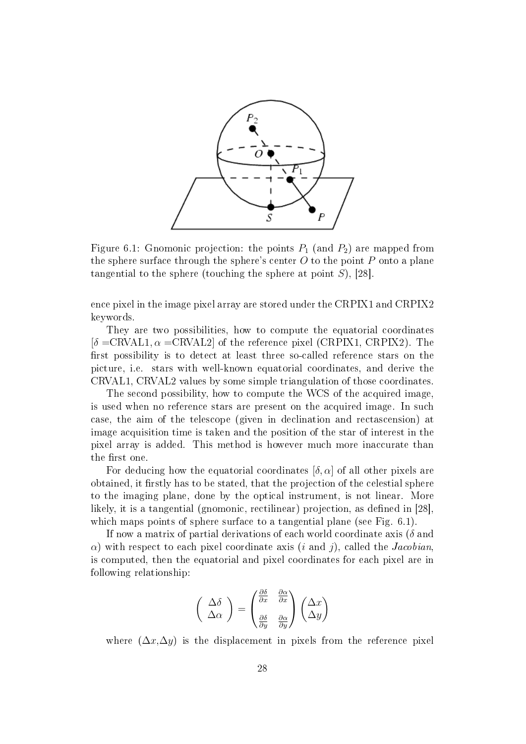

Figure 6.1: Gnomonic projection: the points  $P_1$  (and  $P_2$ ) are mapped from the sphere surface through the sphere's center  $O$  to the point  $P$  onto a plane tangential to the sphere (touching the sphere at point  $S$ ), [28].

ence pixel in the image pixel array are stored under the CRPIX1 and CRPIX2 keywords.

They are two possibilities, how to compute the equatorial coordinates  $[\delta = \text{CRVAL1}, \alpha = \text{CRVAL2}]$  of the reference pixel (CRPIX1, CRPIX2). The first possibility is to detect at least three so-called reference stars on the picture, i.e. stars with well-known equatorial coordinates, and derive the CRVAL1, CRVAL2 values by some simple triangulation of those coordinates.

The second possibility, how to compute the WCS of the acquired image, is used when no reference stars are present on the acquired image. In such case, the aim of the telescope (given in declination and rectascension) at image acquisition time is taken and the position of the star of interest in the pixel array is added. This method is however much more inaccurate than the first one.

For deducing how the equatorial coordinates  $[\delta, \alpha]$  of all other pixels are obtained, it firstly has to be stated, that the projection of the celestial sphere to the imaging plane, done by the optical instrument, is not linear. More likely, it is a tangential (gnomonic, rectilinear) projection, as defined in [28]. which maps points of sphere surface to a tangential plane (see Fig. 6.1).

If now a matrix of partial derivations of each world coordinate axis ( $\delta$  and  $\alpha$ ) with respect to each pixel coordinate axis (i and j), called the *Jacobian*. is computed, then the equatorial and pixel coordinates for each pixel are in following relationship:

$$
\left(\begin{array}{c}\Delta\delta\\ \Delta\alpha\end{array}\right) = \begin{pmatrix}\frac{\partial\delta}{\partial x} & \frac{\partial\alpha}{\partial x}\\ \frac{\partial\delta}{\partial y} & \frac{\partial\alpha}{\partial y}\end{pmatrix}\begin{pmatrix}\Delta x\\ \Delta y\end{pmatrix}
$$

where  $(\Delta x, \Delta y)$  is the displacement in pixels from the reference pixel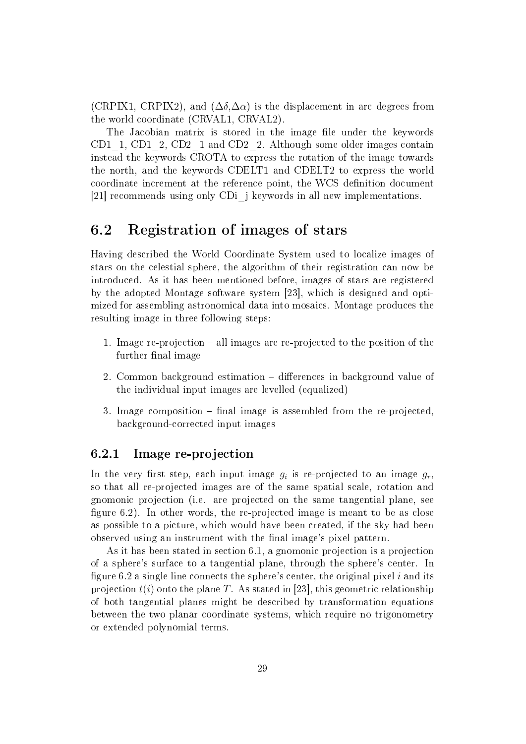(CRPIX1, CRPIX2), and  $(\Delta \delta, \Delta \alpha)$  is the displacement in arc degrees from the world coordinate (CRVAL1, CRVAL2).

The Jacobian matrix is stored in the image file under the keywords CD1 1, CD1 2, CD2 1 and CD2 2. Although some older images contain instead the keywords CROTA to express the rotation of the image towards the north, and the keywords CDELT1 and CDELT2 to express the world coordinate increment at the reference point, the WCS definition document [21] recommends using only CDi\_j keywords in all new implementations.

## 6.2 Registration of images of stars

Having described the World Coordinate System used to localize images of stars on the celestial sphere, the algorithm of their registration can now be introduced. As it has been mentioned before, images of stars are registered by the adopted Montage software system [23], which is designed and optimized for assembling astronomical data into mosaics. Montage produces the resulting image in three following steps:

- 1. Image re-projection  $-$  all images are re-projected to the position of the further final image
- 2. Common background estimation differences in background value of the individual input images are levelled (equalized)
- 3. Image composition  $-$  final image is assembled from the re-projected, background-corrected input images

#### 6.2.1 Image re-projection

In the very first step, each input image  $g_i$  is re-projected to an image  $g_r$ , so that all re-projected images are of the same spatial scale, rotation and gnomonic projection (i.e. are projected on the same tangential plane, see figure 6.2). In other words, the re-projected image is meant to be as close as possible to a picture, which would have been created, if the sky had been observed using an instrument with the final image's pixel pattern.

As it has been stated in section 6.1, a gnomonic projection is a projection of a sphere's surface to a tangential plane, through the sphere's center. In figure 6.2 a single line connects the sphere's center, the original pixel  $i$  and its projection  $t(i)$  onto the plane T. As stated in [23], this geometric relationship of both tangential planes might be described by transformation equations between the two planar coordinate systems, which require no trigonometry or extended polynomial terms.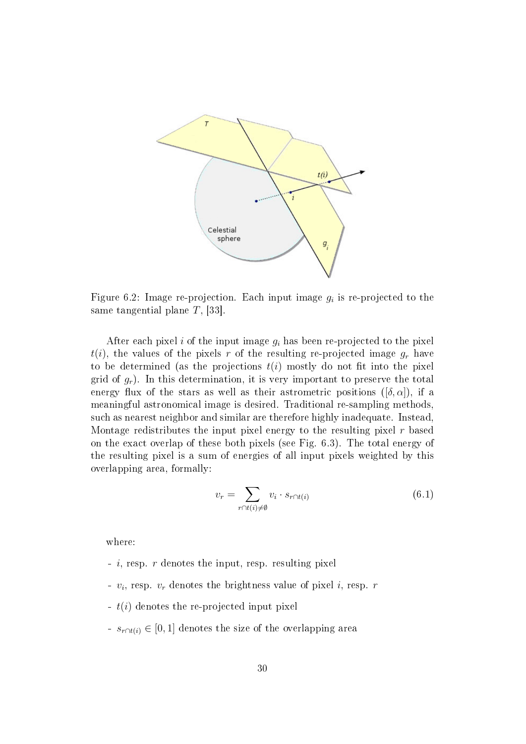

Figure 6.2: Image re-projection. Each input image  $g_i$  is re-projected to the same tangential plane T, [33].

After each pixel i of the input image  $g_i$  has been re-projected to the pixel  $t(i)$ , the values of the pixels r of the resulting re-projected image  $g_r$  have to be determined (as the projections  $t(i)$  mostly do not fit into the pixel grid of  $g_r$ ). In this determination, it is very important to preserve the total energy flux of the stars as well as their astrometric positions ( $[\delta, \alpha]$ ), if a meaningful astronomical image is desired. Traditional re-sampling methods, such as nearest neighbor and similar are therefore highly inadequate. Instead, Montage redistributes the input pixel energy to the resulting pixel  $r$  based on the exact overlap of these both pixels (see Fig. 6.3). The total energy of the resulting pixel is a sum of energies of all input pixels weighted by this overlapping area, formally:

$$
v_r = \sum_{r \cap t(i) \neq \emptyset} v_i \cdot s_{r \cap t(i)} \tag{6.1}
$$

where:

- $i$ , resp. r denotes the input, resp. resulting pixel
- $v_i$ , resp.  $v_r$  denotes the brightness value of pixel i, resp. r
- t(i) denotes the re-projected input pixel
- $s_{r \cap t(i)} \in [0, 1]$  denotes the size of the overlapping area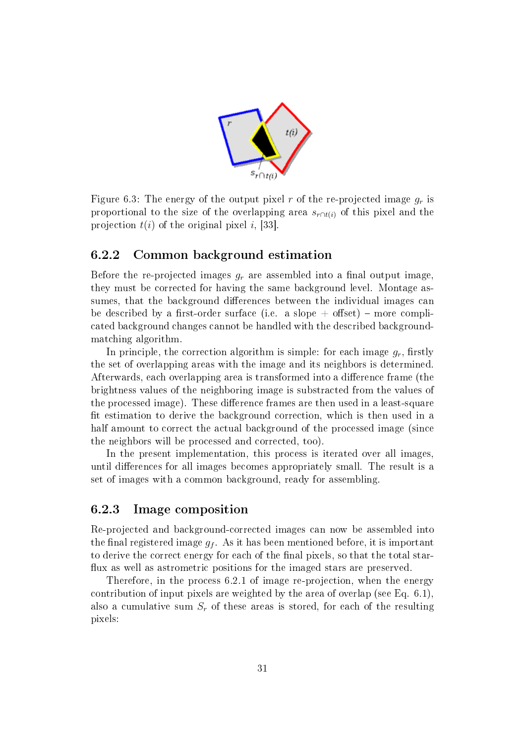

Figure 6.3: The energy of the output pixel r of the re-projected image  $q_r$  is proportional to the size of the overlapping area  $s_{r\cap t(i)}$  of this pixel and the projection  $t(i)$  of the original pixel i, [33].

#### 6.2.2 Common background estimation

Before the re-projected images  $g_r$  are assembled into a final output image, they must be corrected for having the same background level. Montage assumes, that the background differences between the individual images can be described by a first-order surface (i.e. a slope  $+$  offset) – more complicated background changes cannot be handled with the described backgroundmatching algorithm.

In principle, the correction algorithm is simple: for each image  $g_r$ , firstly the set of overlapping areas with the image and its neighbors is determined. Afterwards, each overlapping area is transformed into a difference frame (the brightness values of the neighboring image is substracted from the values of the processed image). These difference frames are then used in a least-square fit estimation to derive the background correction, which is then used in a half amount to correct the actual background of the processed image (since the neighbors will be processed and corrected, too).

In the present implementation, this process is iterated over all images, until differences for all images becomes appropriately small. The result is a set of images with a common background, ready for assembling.

#### 6.2.3 Image composition

Re-projected and background-corrected images can now be assembled into the final registered image  $g_f$ . As it has been mentioned before, it is important to derive the correct energy for each of the final pixels, so that the total starflux as well as astrometric positions for the imaged stars are preserved.

Therefore, in the process 6.2.1 of image re-projection, when the energy contribution of input pixels are weighted by the area of overlap (see Eq. 6.1), also a cumulative sum  $S_r$  of these areas is stored, for each of the resulting pixels: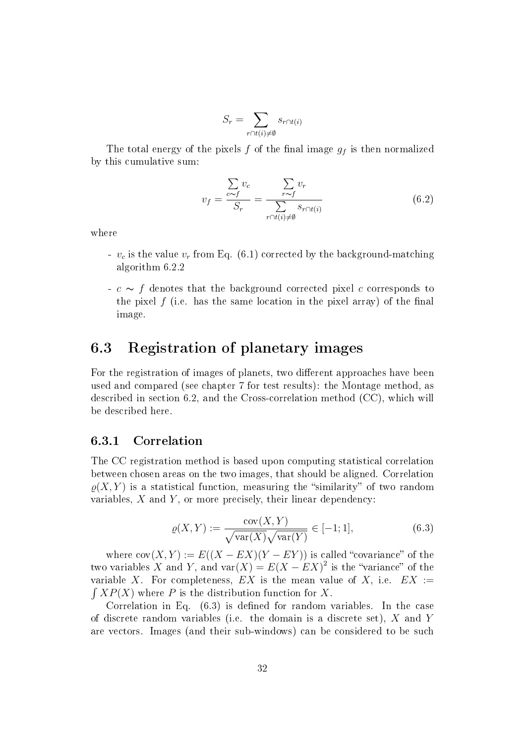$$
S_r = \sum_{r \cap t(i) \neq \emptyset} s_{r \cap t(i)}
$$

The total energy of the pixels  $f$  of the final image  $g_f$  is then normalized by this cumulative sum:

$$
v_f = \frac{\sum_{c \sim f} v_c}{S_r} = \frac{\sum_{r \sim f} v_r}{\sum_{r \cap t(i) \neq \emptyset} s_{r \cap t(i)}}
$$
(6.2)

where

- $v_c$  is the value  $v_r$  from Eq. (6.1) corrected by the background-matching algorithm 6.2.2
- $\sim$  f denotes that the background corrected pixel c corresponds to the pixel f (i.e. has the same location in the pixel array) of the final image.

## 6.3 Registration of planetary images

For the registration of images of planets, two different approaches have been used and compared (see chapter 7 for test results): the Montage method, as described in section 6.2, and the Cross-correlation method (CC), which will be described here.

#### 6.3.1 Correlation

The CC registration method is based upon computing statistical correlation between chosen areas on the two images, that should be aligned. Correlation  $\rho(X, Y)$  is a statistical function, measuring the "similarity" of two random variables,  $X$  and  $Y$ , or more precisely, their linear dependency:

$$
\varrho(X,Y) := \frac{\text{cov}(X,Y)}{\sqrt{\text{var}(X)}\sqrt{\text{var}(Y)}} \in [-1;1],\tag{6.3}
$$

where  $cov(X, Y) := E((X - EX)(Y - EY))$  is called "covariance" of the two variables X and Y, and var $(X) = E(X - EX)^2$  is the "variance" of the variable X. For completeness,  $EX$  is the mean value of X, i.e.  $EX :=$  $\int XP(X)$  where P is the distribution function for X.

Correlation in Eq.  $(6.3)$  is defined for random variables. In the case of discrete random variables (i.e. the domain is a discrete set), X and Y are vectors. Images (and their sub-windows) can be considered to be such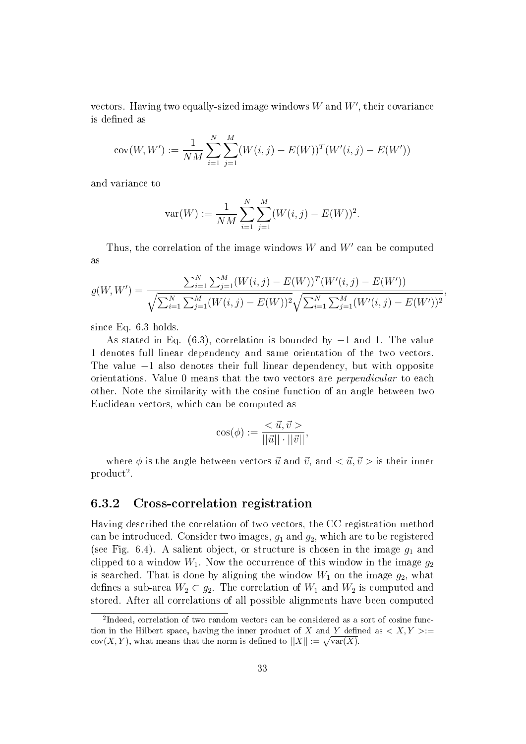vectors. Having two equally-sized image windows  $W$  and  $W^{\prime}$ , their covariance is defined as

$$
cov(W, W') := \frac{1}{NM} \sum_{i=1}^{N} \sum_{j=1}^{M} (W(i, j) - E(W))^T (W'(i, j) - E(W'))
$$

and variance to

$$
var(W) := \frac{1}{NM} \sum_{i=1}^{N} \sum_{j=1}^{M} (W(i,j) - E(W))^2.
$$

Thus, the correlation of the image windows  $W$  and  $W'$  can be computed as

$$
\varrho(W, W') = \frac{\sum_{i=1}^{N} \sum_{j=1}^{M} (W(i, j) - E(W))^{T} (W'(i, j) - E(W'))}{\sqrt{\sum_{i=1}^{N} \sum_{j=1}^{M} (W(i, j) - E(W))^{2}} \sqrt{\sum_{i=1}^{N} \sum_{j=1}^{M} (W'(i, j) - E(W'))^{2}}},
$$

since Eq. 6.3 holds.

As stated in Eq. (6.3), correlation is bounded by −1 and 1. The value 1 denotes full linear dependency and same orientation of the two vectors. The value  $-1$  also denotes their full linear dependency, but with opposite orientations. Value 0 means that the two vectors are perpendicular to each other. Note the similarity with the cosine function of an angle between two Euclidean vectors, which can be computed as

$$
\cos(\phi) := \frac{<\vec{u}, \vec{v}>}{||\vec{u}|| \cdot ||\vec{v}||},
$$

where  $\phi$  is the angle between vectors  $\vec{u}$  and  $\vec{v}$ , and  $\langle \vec{u}, \vec{v} \rangle$  is their inner  $product<sup>2</sup>$ .

#### 6.3.2 Cross-correlation registration

Having described the correlation of two vectors, the CC-registration method can be introduced. Consider two images,  $q_1$  and  $q_2$ , which are to be registered (see Fig. 6.4). A salient object, or structure is chosen in the image  $g_1$  and clipped to a window  $W_1$ . Now the occurrence of this window in the image  $g_2$ is searched. That is done by aligning the window  $W_1$  on the image  $g_2$ , what defines a sub-area  $W_2 \subset g_2$ . The correlation of  $W_1$  and  $W_2$  is computed and stored. After all correlations of all possible alignments have been computed

<sup>&</sup>lt;sup>2</sup>Indeed, correlation of two random vectors can be considered as a sort of cosine function in the Hilbert space, having the inner product of X and Y defined as  $\langle X, Y \rangle :=$  $\text{cov}(X, Y)$ , what means that the norm is defined to  $||X|| := \sqrt{\text{var}(X)}$ .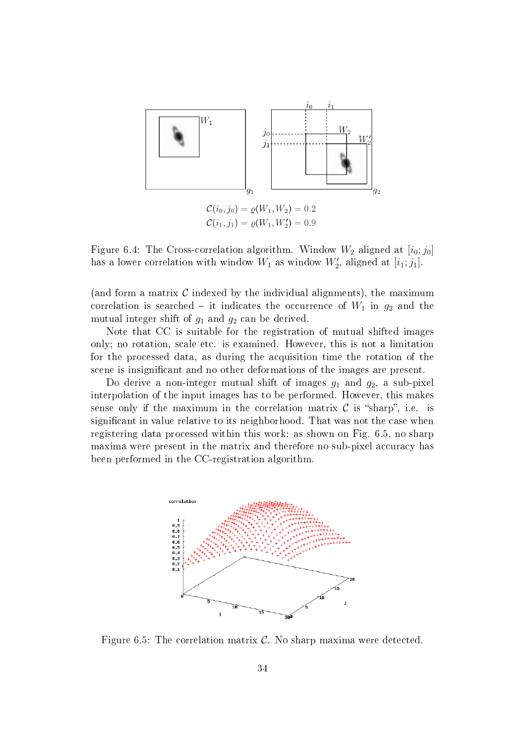

 $\mathcal{C}(i_0, j_0) = \varrho(W_1, W_2) = 0.2$  $\mathcal{C}(i_1, j_1) = \varrho(W_1, W_2') = 0.9$ 

Figure 6.4: The Cross-correlation algorithm. Window  $W_2$  aligned at  $[i_0; j_0]$ has a lower correlation with window  $W_1$  as window  $W'_2$ , aligned at  $[i_1;j_1]$ .

(and form a matrix  $\mathcal C$  indexed by the individual alignments), the maximum correlation is searched – it indicates the occurrence of  $W_1$  in  $g_2$  and the mutual integer shift of  $g_1$  and  $g_2$  can be derived.

Note that CC is suitable for the registration of mutual shifted images only; no rotation, scale etc. is examined. However, this is not a limitation for the processed data, as during the acquisition time the rotation of the scene is insignificant and no other deformations of the images are present.

Do derive a non-integer mutual shift of images  $g_1$  and  $g_2$ , a sub-pixel interpolation of the input images has to be performed. However, this makes sense only if the maximum in the correlation matrix  $\mathcal C$  is "sharp", i.e. is significant in value relative to its neighborhood. That was not the case when registering data processed within this work: as shown on Fig. 6.5, no sharp maxima were present in the matrix and therefore no sub-pixel accuracy has been performed in the CC-registration algorithm.



Figure 6.5: The correlation matrix  $\mathcal{C}$ . No sharp maxima were detected.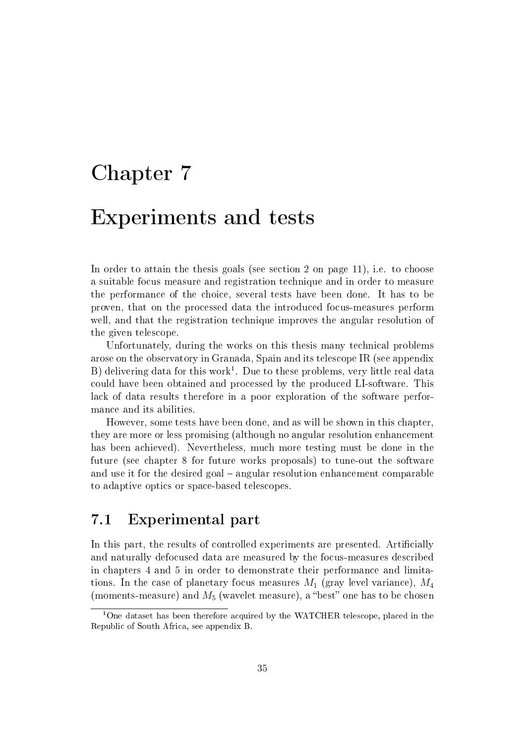# Chapter 7 Experiments and tests

In order to attain the thesis goals (see section 2 on page 11), i.e. to choose a suitable focus measure and registration technique and in order to measure the performance of the choice, several tests have been done. It has to be proven, that on the processed data the introduced focus-measures perform well, and that the registration technique improves the angular resolution of the given telescope.

Unfortunately, during the works on this thesis many technical problems arose on the observatory in Granada, Spain and its telescope IR (see appendix B) delivering data for this work $^1$ . Due to these problems, very little real data could have been obtained and processed by the produced LI-software. This lack of data results therefore in a poor exploration of the software performance and its abilities.

However, some tests have been done, and as will be shown in this chapter, they are more or less promising (although no angular resolution enhancement has been achieved). Nevertheless, much more testing must be done in the future (see chapter 8 for future works proposals) to tune-out the software and use it for the desired goal – angular resolution enhancement comparable to adaptive optics or space-based telescopes.

## 7.1 Experimental part

In this part, the results of controlled experiments are presented. Artificially and naturally defocused data are measured by the focus-measures described in chapters 4 and 5 in order to demonstrate their performance and limitations. In the case of planetary focus measures  $M_1$  (gray level variance),  $M_4$ (moments-measure) and  $M_5$  (wavelet measure), a "best" one has to be chosen

<sup>&</sup>lt;sup>1</sup>One dataset has been therefore acquired by the WATCHER telescope, placed in the Republic of South Africa, see appendix B.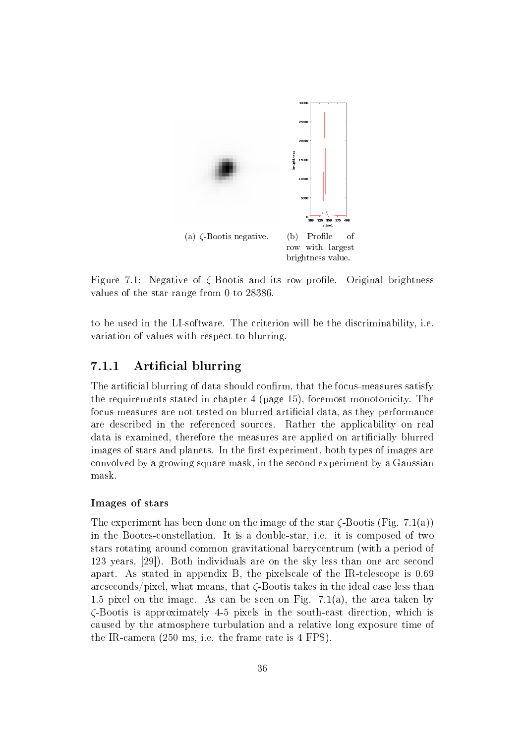

Figure 7.1: Negative of  $\zeta$ -Bootis and its row-profile. Original brightness values of the star range from 0 to 28386.

to be used in the LI-software. The criterion will be the discriminability, i.e. variation of values with respect to blurring.

#### 7.1.1 Artificial blurring

The artificial blurring of data should confirm, that the focus-measures satisfy the requirements stated in chapter 4 (page 15), foremost monotonicity. The focus-measures are not tested on blurred artificial data, as they performance are described in the referenced sources. Rather the applicability on real data is examined, therefore the measures are applied on articially blurred images of stars and planets. In the first experiment, both types of images are convolved by a growing square mask, in the second experiment by a Gaussian mask.

#### Images of stars

The experiment has been done on the image of the star  $\zeta$ -Bootis (Fig. 7.1(a)) in the Bootes-constellation. It is a double-star, i.e. it is composed of two stars rotating around common gravitational barrycentrum (with a period of 123 years, [29]). Both individuals are on the sky less than one arc second apart. As stated in appendix B, the pixelscale of the IR-telescope is 0.69 arcseconds/pixel, what means, that  $\zeta$ -Bootis takes in the ideal case less than 1.5 pixel on the image. As can be seen on Fig. 7.1(a), the area taken by ζ-Bootis is approximately 4-5 pixels in the south-east direction, which is caused by the atmosphere turbulation and a relative long exposure time of the IR-camera (250 ms, i.e. the frame rate is 4 FPS).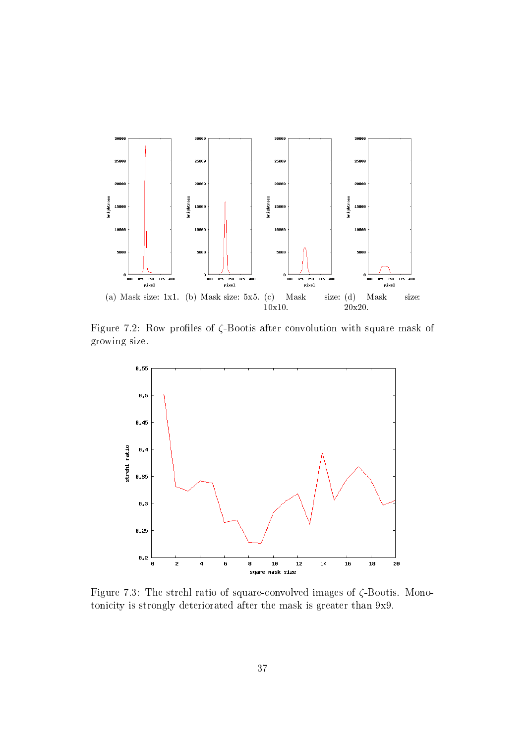

Figure 7.2: Row profiles of  $\zeta$ -Bootis after convolution with square mask of growing size.



Figure 7.3: The strehl ratio of square-convolved images of  $\zeta$ -Bootis. Monotonicity is strongly deteriorated after the mask is greater than 9x9.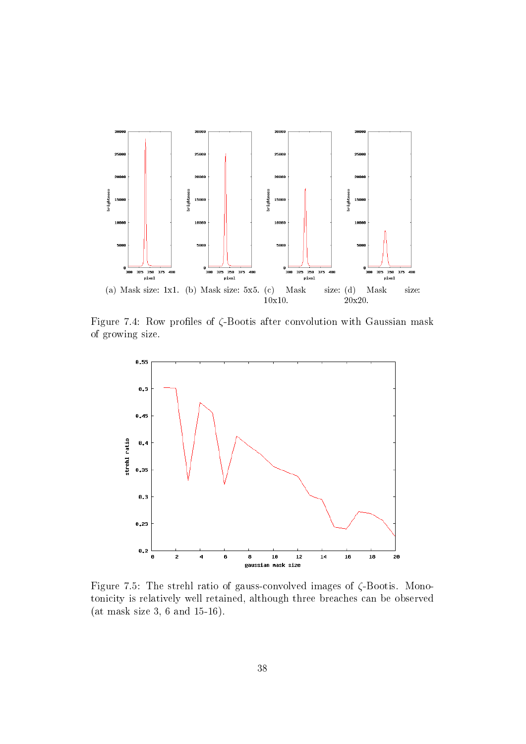

Figure 7.4: Row profiles of  $\zeta$ -Bootis after convolution with Gaussian mask of growing size.



Figure 7.5: The strehl ratio of gauss-convolved images of ζ-Bootis. Monotonicity is relatively well retained, although three breaches can be observed (at mask size 3, 6 and 15-16).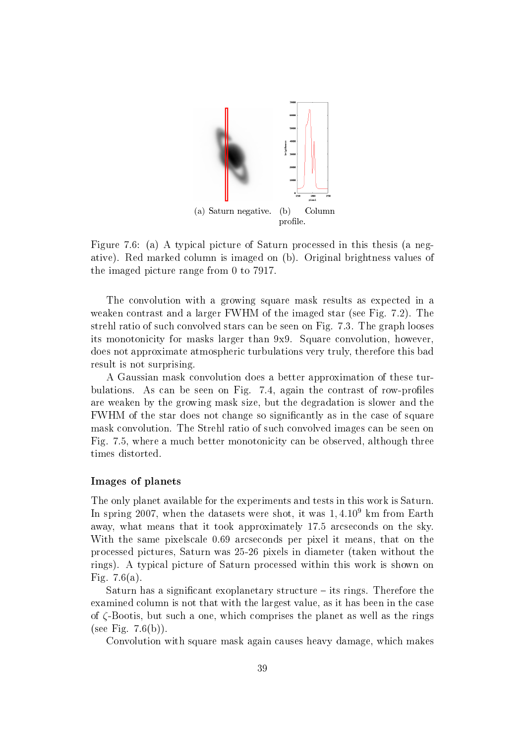

Figure 7.6: (a) A typical picture of Saturn processed in this thesis (a negative). Red marked column is imaged on (b). Original brightness values of the imaged picture range from 0 to 7917.

The convolution with a growing square mask results as expected in a weaken contrast and a larger FWHM of the imaged star (see Fig. 7.2). The strehl ratio of such convolved stars can be seen on Fig. 7.3. The graph looses its monotonicity for masks larger than 9x9. Square convolution, however, does not approximate atmospheric turbulations very truly, therefore this bad result is not surprising.

A Gaussian mask convolution does a better approximation of these turbulations. As can be seen on Fig. 7.4, again the contrast of row-profiles are weaken by the growing mask size, but the degradation is slower and the FWHM of the star does not change so signicantly as in the case of square mask convolution. The Strehl ratio of such convolved images can be seen on Fig. 7.5, where a much better monotonicity can be observed, although three times distorted.

#### Images of planets

The only planet available for the experiments and tests in this work is Saturn. In spring 2007, when the datasets were shot, it was 1, 4.10<sup>9</sup> km from Earth away, what means that it took approximately 17.5 arcseconds on the sky. With the same pixelscale 0.69 arcseconds per pixel it means, that on the processed pictures, Saturn was 25-26 pixels in diameter (taken without the rings). A typical picture of Saturn processed within this work is shown on Fig. 7.6(a).

Saturn has a significant exoplanetary structure  $-$  its rings. Therefore the examined column is not that with the largest value, as it has been in the case of ζ-Bootis, but such a one, which comprises the planet as well as the rings (see Fig.  $7.6(b)$ ).

Convolution with square mask again causes heavy damage, which makes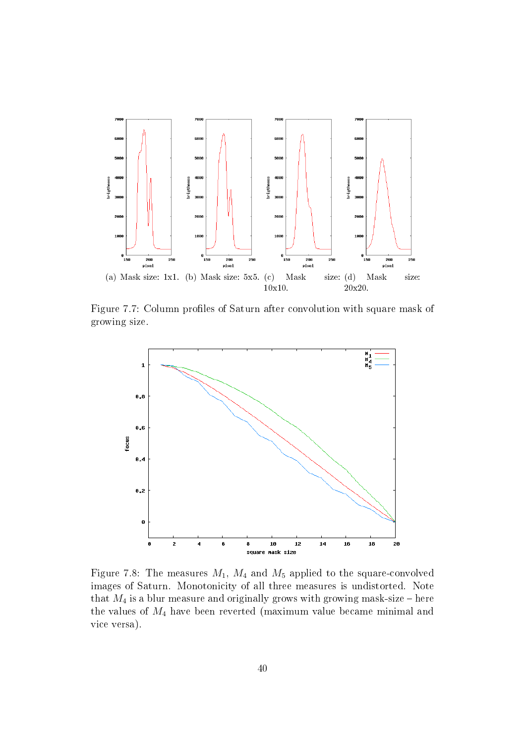

Figure 7.7: Column profiles of Saturn after convolution with square mask of growing size.



Figure 7.8: The measures  $M_1$ ,  $M_4$  and  $M_5$  applied to the square-convolved images of Saturn. Monotonicity of all three measures is undistorted. Note that  $M_4$  is a blur measure and originally grows with growing mask-size – here the values of  $M_4$  have been reverted (maximum value became minimal and vice versa).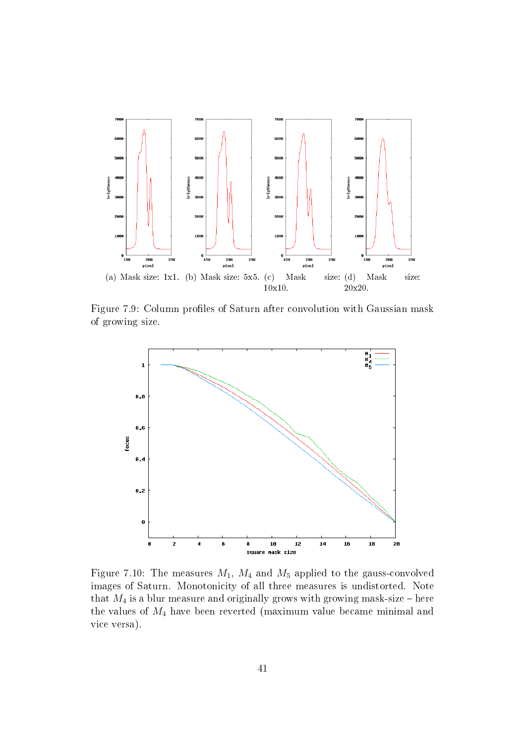

Figure 7.9: Column profiles of Saturn after convolution with Gaussian mask of growing size.



Figure 7.10: The measures  $M_1$ ,  $M_4$  and  $M_5$  applied to the gauss-convolved images of Saturn. Monotonicity of all three measures is undistorted. Note that  $M_4$  is a blur measure and originally grows with growing mask-size – here the values of  $M_4$  have been reverted (maximum value became minimal and vice versa).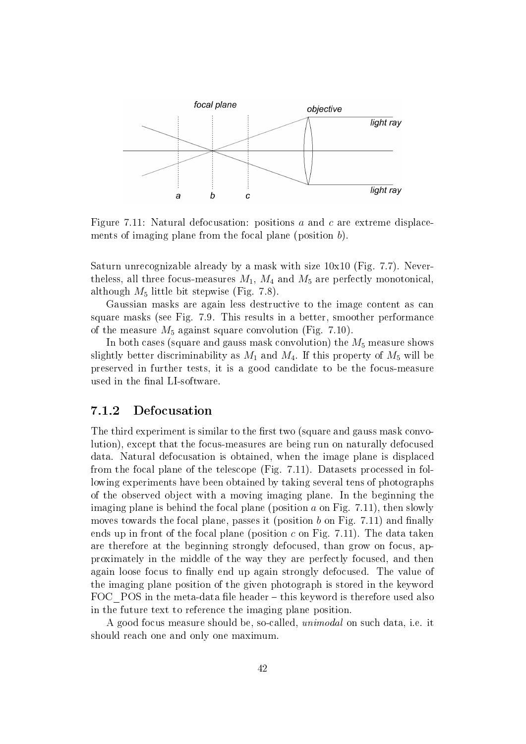

Figure 7.11: Natural defocusation: positions  $a$  and  $c$  are extreme displacements of imaging plane from the focal plane (position b).

Saturn unrecognizable already by a mask with size 10x10 (Fig. 7.7). Nevertheless, all three focus-measures  $M_1$ ,  $M_4$  and  $M_5$  are perfectly monotonical, although  $M_5$  little bit stepwise (Fig. 7.8).

Gaussian masks are again less destructive to the image content as can square masks (see Fig. 7.9. This results in a better, smoother performance of the measure  $M_5$  against square convolution (Fig. 7.10).

In both cases (square and gauss mask convolution) the  $M_5$  measure shows slightly better discriminability as  $M_1$  and  $M_4$ . If this property of  $M_5$  will be preserved in further tests, it is a good candidate to be the focus-measure used in the final LI-software.

#### 7.1.2 Defocusation

The third experiment is similar to the first two (square and gauss mask convolution), except that the focus-measures are being run on naturally defocused data. Natural defocusation is obtained, when the image plane is displaced from the focal plane of the telescope (Fig. 7.11). Datasets processed in following experiments have been obtained by taking several tens of photographs of the observed object with a moving imaging plane. In the beginning the imaging plane is behind the focal plane (position  $a$  on Fig. 7.11), then slowly moves towards the focal plane, passes it (position b on Fig.  $7.11$ ) and finally ends up in front of the focal plane (position  $c$  on Fig. 7.11). The data taken are therefore at the beginning strongly defocused, than grow on focus, approximately in the middle of the way they are perfectly focused, and then again loose focus to finally end up again strongly defocused. The value of the imaging plane position of the given photograph is stored in the keyword FOC  $POS$  in the meta-data file header  $-$  this keyword is therefore used also in the future text to reference the imaging plane position.

A good focus measure should be, so-called, unimodal on such data, i.e. it should reach one and only one maximum.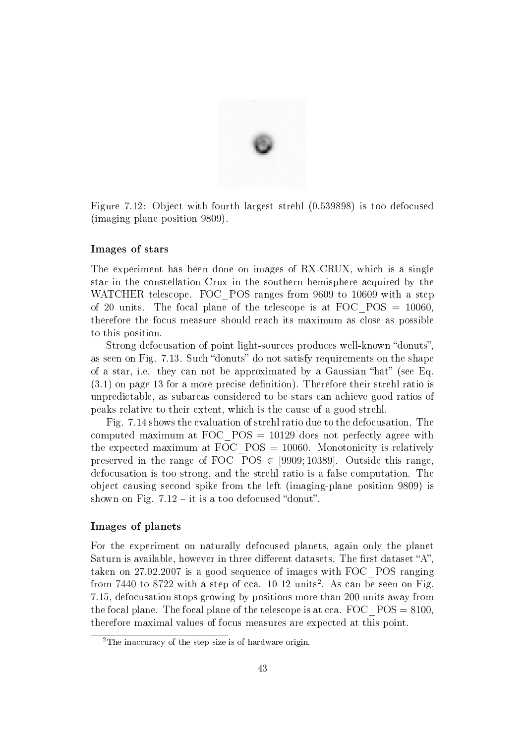

Figure 7.12: Object with fourth largest strehl (0.539898) is too defocused (imaging plane position 9809).

#### Images of stars

The experiment has been done on images of RX-CRUX, which is a single star in the constellation Crux in the southern hemisphere acquired by the WATCHER telescope. FOC POS ranges from 9609 to 10609 with a step of 20 units. The focal plane of the telescope is at FOC\_POS = 10060, therefore the focus measure should reach its maximum as close as possible to this position.

Strong defocusation of point light-sources produces well-known "donuts". as seen on Fig. 7.13. Such "donuts" do not satisfy requirements on the shape of a star, i.e. they can not be approximated by a Gaussian "hat" (see Eq.  $(3.1)$  on page 13 for a more precise definition). Therefore their strehl ratio is unpredictable, as subareas considered to be stars can achieve good ratios of peaks relative to their extent, which is the cause of a good strehl.

Fig. 7.14 shows the evaluation of strehl ratio due to the defocusation. The computed maximum at FOC\_POS = 10129 does not perfectly agree with the expected maximum at FOC  $POS = 10060$ . Monotonicity is relatively preserved in the range of FOC  $POS \in [9909; 10389]$ . Outside this range, defocusation is too strong, and the strehl ratio is a false computation. The object causing second spike from the left (imaging-plane position 9809) is shown on Fig.  $7.12 - it$  is a too defocused "donut".

#### Images of planets

For the experiment on naturally defocused planets, again only the planet Saturn is available, however in three different datasets. The first dataset "A", taken on 27.02.2007 is a good sequence of images with FOC\_POS ranging from 7440 to 8722 with a step of cca.  $10-12$  units<sup>2</sup>. As can be seen on Fig. 7.15, defocusation stops growing by positions more than 200 units away from the focal plane. The focal plane of the telescope is at cca.  $FOC_POS = 8100$ , therefore maximal values of focus measures are expected at this point.

<sup>2</sup>The inaccuracy of the step size is of hardware origin.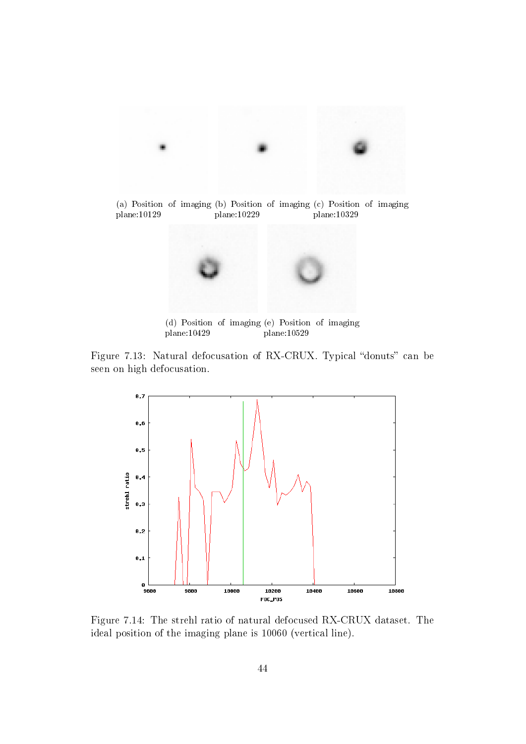

plane:10129 plane:10229 plane:10329



(d) Position of imaging (e) Position of imaging plane:10429 plane:10529

Figure 7.13: Natural defocusation of RX-CRUX. Typical "donuts" can be seen on high defocusation.



Figure 7.14: The strehl ratio of natural defocused RX-CRUX dataset. The ideal position of the imaging plane is 10060 (vertical line).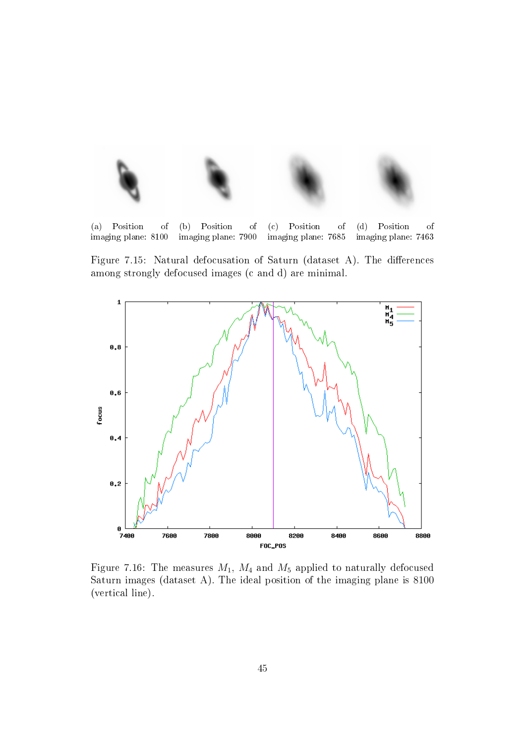

(a) Position of imaging plane: 8100 (b) Position of imaging plane: 7900 (c) Position of imaging plane: 7685 (d) Position of imaging plane: 7463

Figure 7.15: Natural defocusation of Saturn (dataset A). The differences among strongly defocused images (c and d) are minimal.



Figure 7.16: The measures  $M_1$ ,  $M_4$  and  $M_5$  applied to naturally defocused Saturn images (dataset A). The ideal position of the imaging plane is 8100 (vertical line).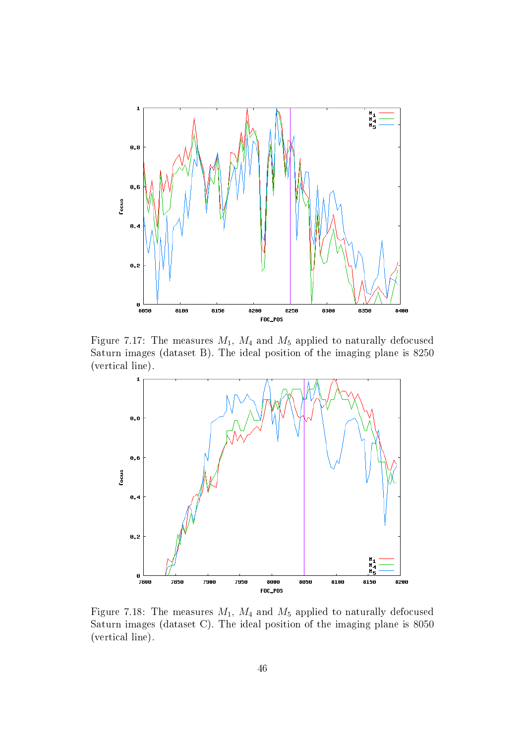

Figure 7.17: The measures  $M_1$ ,  $M_4$  and  $M_5$  applied to naturally defocused Saturn images (dataset B). The ideal position of the imaging plane is 8250 (vertical line).



Figure 7.18: The measures  $M_1$ ,  $M_4$  and  $M_5$  applied to naturally defocused Saturn images (dataset C). The ideal position of the imaging plane is 8050 (vertical line).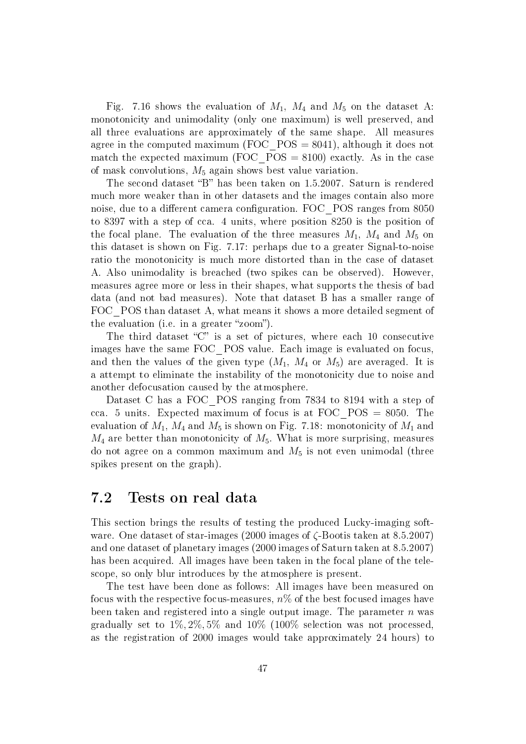Fig. 7.16 shows the evaluation of  $M_1$ ,  $M_4$  and  $M_5$  on the dataset A: monotonicity and unimodality (only one maximum) is well preserved, and all three evaluations are approximately of the same shape. All measures agree in the computed maximum (FOC  $POS = 8041$ ), although it does not match the expected maximum (FOC  $POS = 8100$ ) exactly. As in the case of mask convolutions,  $M_5$  again shows best value variation.

The second dataset "B" has been taken on 1.5.2007. Saturn is rendered much more weaker than in other datasets and the images contain also more noise, due to a different camera configuration. FOC POS ranges from 8050 to 8397 with a step of cca. 4 units, where position 8250 is the position of the focal plane. The evaluation of the three measures  $M_1$ ,  $M_4$  and  $M_5$  on this dataset is shown on Fig. 7.17: perhaps due to a greater Signal-to-noise ratio the monotonicity is much more distorted than in the case of dataset A. Also unimodality is breached (two spikes can be observed). However, measures agree more or less in their shapes, what supports the thesis of bad data (and not bad measures). Note that dataset B has a smaller range of FOC POS than dataset A, what means it shows a more detailed segment of the evaluation (i.e. in a greater "zoom").

The third dataset " $C$ " is a set of pictures, where each 10 consecutive images have the same FOC\_POS value. Each image is evaluated on focus, and then the values of the given type  $(M_1, M_4$  or  $M_5)$  are averaged. It is a attempt to eliminate the instability of the monotonicity due to noise and another defocusation caused by the atmosphere.

Dataset C has a FOC\_POS ranging from 7834 to 8194 with a step of cca. 5 units. Expected maximum of focus is at FOC\_POS = 8050. The evaluation of  $M_1$ ,  $M_4$  and  $M_5$  is shown on Fig. 7.18: monotonicity of  $M_1$  and  $M_4$  are better than monotonicity of  $M_5$ . What is more surprising, measures do not agree on a common maximum and  $M_5$  is not even unimodal (three spikes present on the graph).

## 7.2 Tests on real data

This section brings the results of testing the produced Lucky-imaging software. One dataset of star-images (2000 images of ζ-Bootis taken at 8.5.2007) and one dataset of planetary images (2000 images of Saturn taken at 8.5.2007) has been acquired. All images have been taken in the focal plane of the telescope, so only blur introduces by the atmosphere is present.

The test have been done as follows: All images have been measured on focus with the respective focus-measures,  $n\%$  of the best focused images have been taken and registered into a single output image. The parameter  $n$  was gradually set to  $1\%, 2\%, 5\%$  and  $10\%$  (100% selection was not processed, as the registration of 2000 images would take approximately 24 hours) to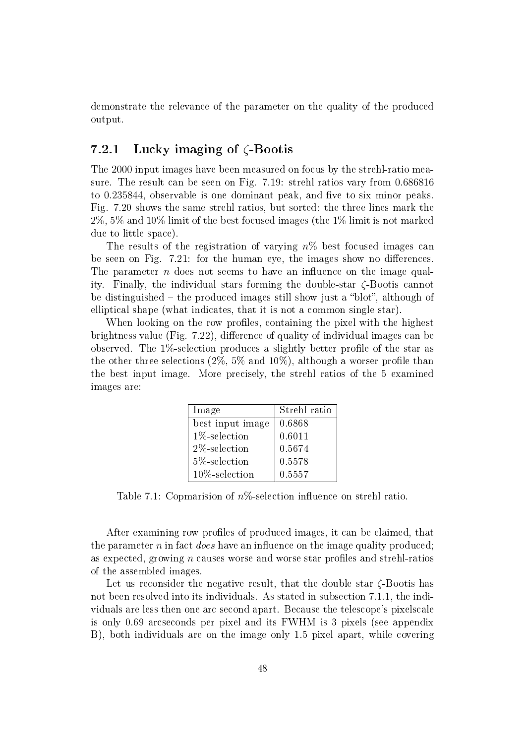demonstrate the relevance of the parameter on the quality of the produced output.

## 7.2.1 Lucky imaging of  $\zeta$ -Bootis

The 2000 input images have been measured on focus by the strehl-ratio measure. The result can be seen on Fig. 7.19: strehl ratios vary from 0.686816 to 0.235844, observable is one dominant peak, and five to six minor peaks. Fig. 7.20 shows the same strehl ratios, but sorted: the three lines mark the 2%, 5% and 10% limit of the best focused images (the 1% limit is not marked due to little space).

The results of the registration of varying  $n\%$  best focused images can be seen on Fig.  $7.21$ : for the human eye, the images show no differences. The parameter  $n$  does not seems to have an influence on the image quality. Finally, the individual stars forming the double-star ζ-Bootis cannot be distinguished  $-$  the produced images still show just a "blot", although of elliptical shape (what indicates, that it is not a common single star).

When looking on the row profiles, containing the pixel with the highest brightness value (Fig.  $7.22$ ), difference of quality of individual images can be observed. The  $1\%$ -selection produces a slightly better profile of the star as the other three selections  $(2\%, 5\% \text{ and } 10\%)$ , although a worser profile than the best input image. More precisely, the strehl ratios of the 5 examined images are:

| Image             | Strehl ratio |
|-------------------|--------------|
| best input image  | 0.6868       |
| $1\%$ -selection  | 0.6011       |
| $2\%$ -selection  | 0.5674       |
| 5%-selection      | 0.5578       |
| $10\%$ -selection | 0.5557       |

Table 7.1: Copmarision of  $n\%$ -selection influence on strehl ratio.

After examining row profiles of produced images, it can be claimed, that the parameter n in fact *does* have an influence on the image quality produced; as expected, growing  $n$  causes worse and worse star profiles and strehl-ratios of the assembled images.

Let us reconsider the negative result, that the double star  $\zeta$ -Bootis has not been resolved into its individuals. As stated in subsection 7.1.1, the individuals are less then one arc second apart. Because the telescope's pixelscale is only 0.69 arcseconds per pixel and its FWHM is 3 pixels (see appendix B), both individuals are on the image only 1.5 pixel apart, while covering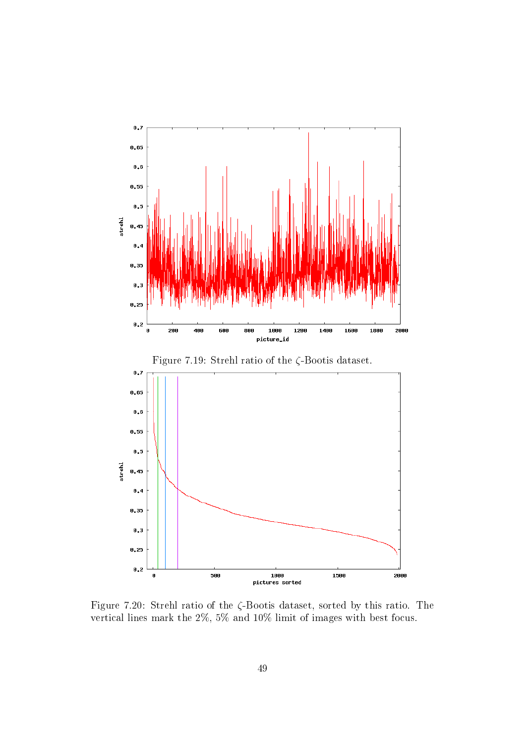

Figure 7.20: Strehl ratio of the ζ-Bootis dataset, sorted by this ratio. The vertical lines mark the 2%, 5% and 10% limit of images with best focus.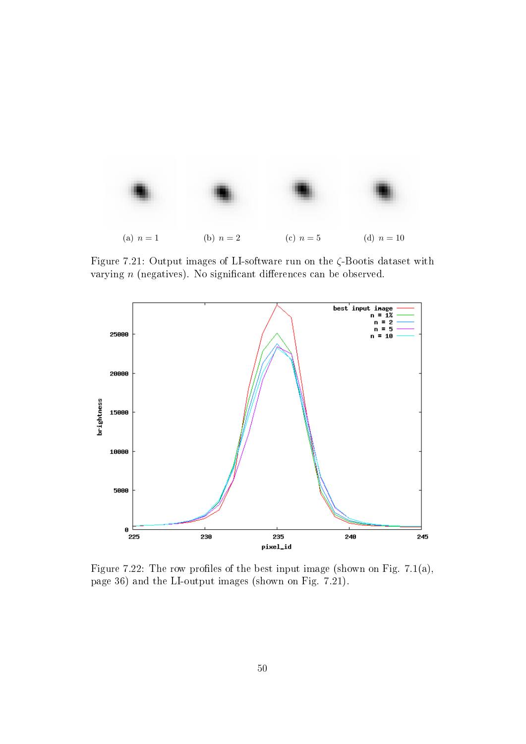

Figure 7.21: Output images of LI-software run on the ζ-Bootis dataset with varying  $n$  (negatives). No significant differences can be observed.



Figure 7.22: The row profiles of the best input image (shown on Fig. 7.1(a), page 36) and the LI-output images (shown on Fig. 7.21).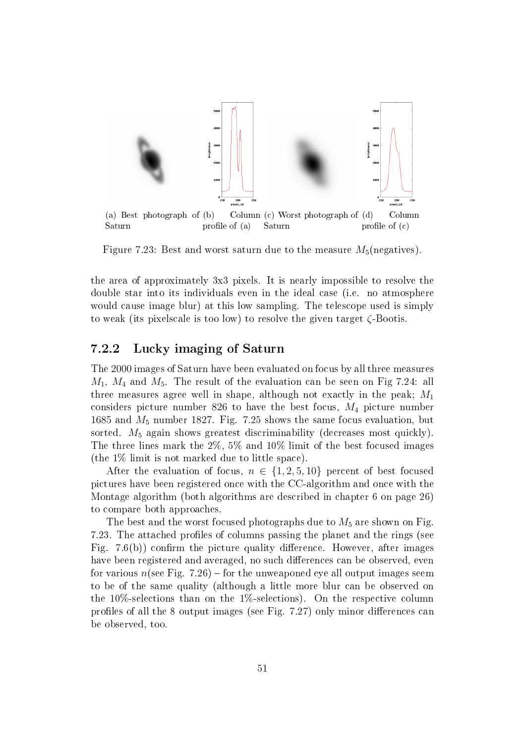

Figure 7.23: Best and worst saturn due to the measure  $M_5$ (negatives).

the area of approximately 3x3 pixels. It is nearly impossible to resolve the double star into its individuals even in the ideal case (i.e. no atmosphere would cause image blur) at this low sampling. The telescope used is simply to weak (its pixelscale is too low) to resolve the given target ζ-Bootis.

#### 7.2.2 Lucky imaging of Saturn

The 2000 images of Saturn have been evaluated on focus by all three measures  $M_1$ ,  $M_4$  and  $M_5$ . The result of the evaluation can be seen on Fig 7.24: all three measures agree well in shape, although not exactly in the peak;  $M_1$ considers picture number 826 to have the best focus,  $M_4$  picture number 1685 and  $M_5$  number 1827. Fig. 7.25 shows the same focus evaluation, but sorted.  $M_5$  again shows greatest discriminability (decreases most quickly). The three lines mark the 2%, 5% and 10% limit of the best focused images (the 1% limit is not marked due to little space).

After the evaluation of focus,  $n \in \{1, 2, 5, 10\}$  percent of best focused pictures have been registered once with the CC-algorithm and once with the Montage algorithm (both algorithms are described in chapter 6 on page 26) to compare both approaches.

The best and the worst focused photographs due to  $M_5$  are shown on Fig. 7.23. The attached profiles of columns passing the planet and the rings (see Fig.  $7.6(b)$  confirm the picture quality difference. However, after images have been registered and averaged, no such differences can be observed, even for various  $n$ (see Fig. 7.26) – for the unweaponed eye all output images seem to be of the same quality (although a little more blur can be observed on the 10%-selections than on the 1%-selections). On the respective column profiles of all the 8 output images (see Fig. 7.27) only minor differences can be observed, too.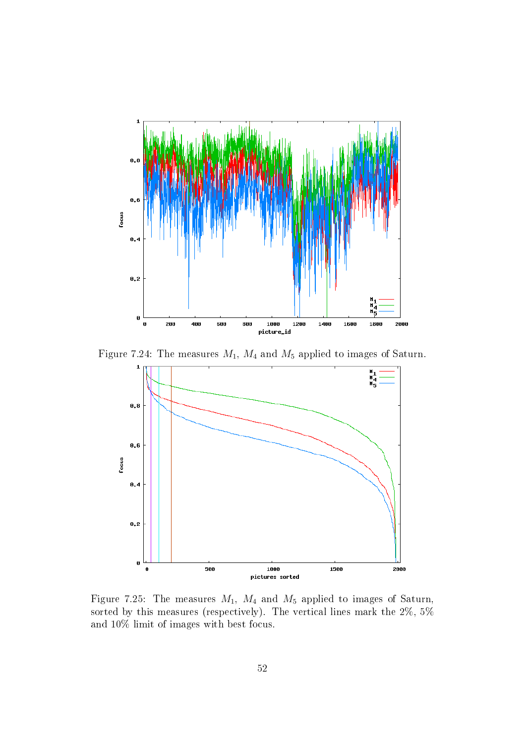

Figure 7.24: The measures  $M_1$ ,  $M_4$  and  $M_5$  applied to images of Saturn.



Figure 7.25: The measures  $M_1$ ,  $M_4$  and  $M_5$  applied to images of Saturn, sorted by this measures (respectively). The vertical lines mark the 2%, 5% and 10% limit of images with best focus.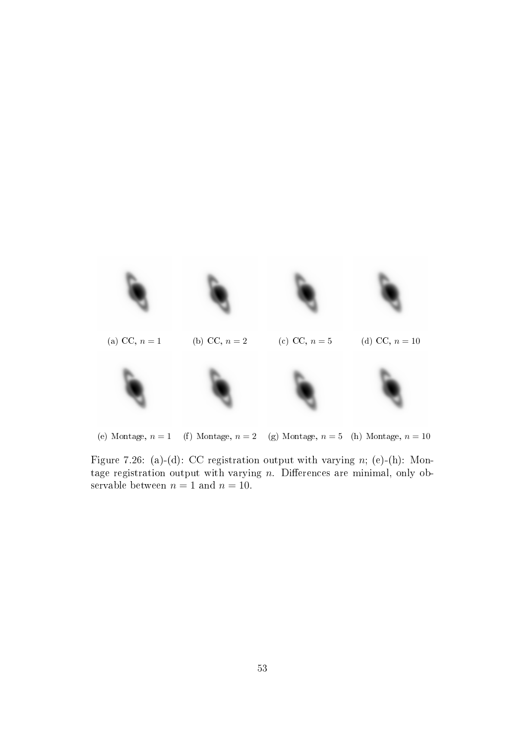

(e) Montage,  $n = 1$  (f) Montage,  $n = 2$  (g) Montage,  $n = 5$  (h) Montage,  $n = 10$ 

Figure 7.26: (a)-(d): CC registration output with varying  $n$ ; (e)-(h): Montage registration output with varying  $n$ . Differences are minimal, only observable between  $n = 1$  and  $n = 10$ .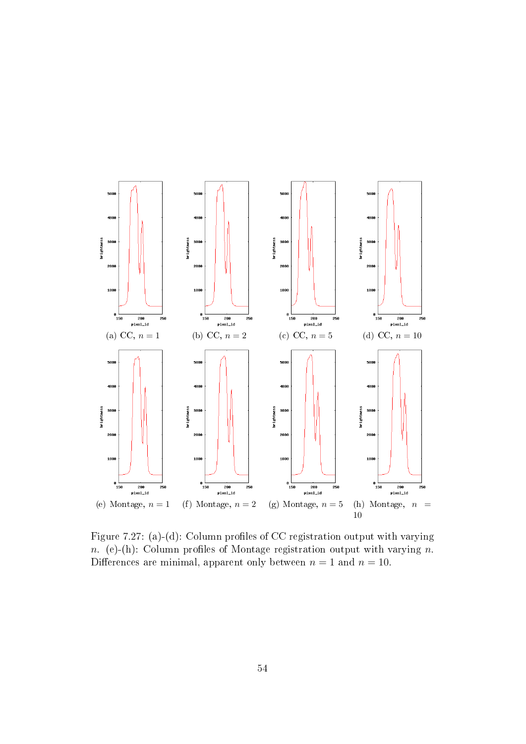

Figure 7.27: (a)-(d): Column profiles of CC registration output with varying n. (e)-(h): Column profiles of Montage registration output with varying n. Differences are minimal, apparent only between  $n = 1$  and  $n = 10$ .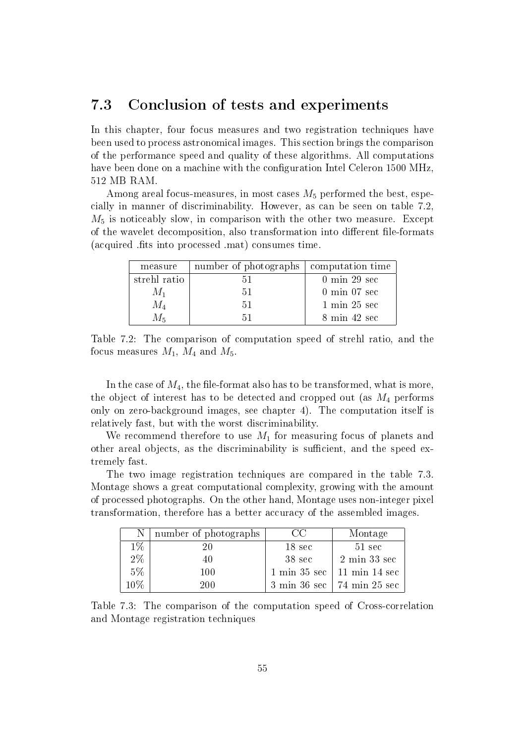## 7.3 Conclusion of tests and experiments

In this chapter, four focus measures and two registration techniques have been used to process astronomical images. This section brings the comparison of the performance speed and quality of these algorithms. All computations have been done on a machine with the configuration Intel Celeron 1500 MHz, 512 MB RAM.

Among areal focus-measures, in most cases  $M_5$  performed the best, especially in manner of discriminability. However, as can be seen on table 7.2,  $M_5$  is noticeably slow, in comparison with the other two measure. Except of the wavelet decomposition, also transformation into different file-formats (acquired .fits into processed .mat) consumes time.

| measure      | number of photographs | computation time                |
|--------------|-----------------------|---------------------------------|
| strehl ratio |                       | $0 \text{ min } 29 \text{ sec}$ |
| $M_1$        | h I                   | $0 \text{ min } 07 \text{ sec}$ |
| $M_4$        | 51                    | $1 \text{ min } 25 \text{ sec}$ |
|              |                       | $8 \text{ min } 42 \text{ sec}$ |

Table 7.2: The comparison of computation speed of strehl ratio, and the focus measures  $M_1$ ,  $M_4$  and  $M_5$ .

In the case of  $M_4$ , the file-format also has to be transformed, what is more, the object of interest has to be detected and cropped out (as  $M_4$  performs only on zero-background images, see chapter 4). The computation itself is relatively fast, but with the worst discriminability.

We recommend therefore to use  $M_1$  for measuring focus of planets and other areal objects, as the discriminability is sufficient, and the speed extremely fast.

The two image registration techniques are compared in the table 7.3. Montage shows a great computational complexity, growing with the amount of processed photographs. On the other hand, Montage uses non-integer pixel transformation, therefore has a better accuracy of the assembled images.

| $\mathbf N$ | number of photographs | CC                              | Montage                                                |
|-------------|-----------------------|---------------------------------|--------------------------------------------------------|
| $1\%$       | ווי                   | $18 \text{ sec}$                | $51 \text{ sec}$                                       |
| 2%          | 40                    | 38 sec                          | $2$ min $33~\mathrm{sec}$                              |
| $5\%$       | $100\,$               | $1 \text{ min } 35 \text{ sec}$ | $\frac{11 \text{ min } 14 \text{ sec}}{2 \text{ sec}}$ |
| 10%         | 200                   |                                 | 3 min 36 sec   74 min 25 sec                           |

Table 7.3: The comparison of the computation speed of Cross-correlation and Montage registration techniques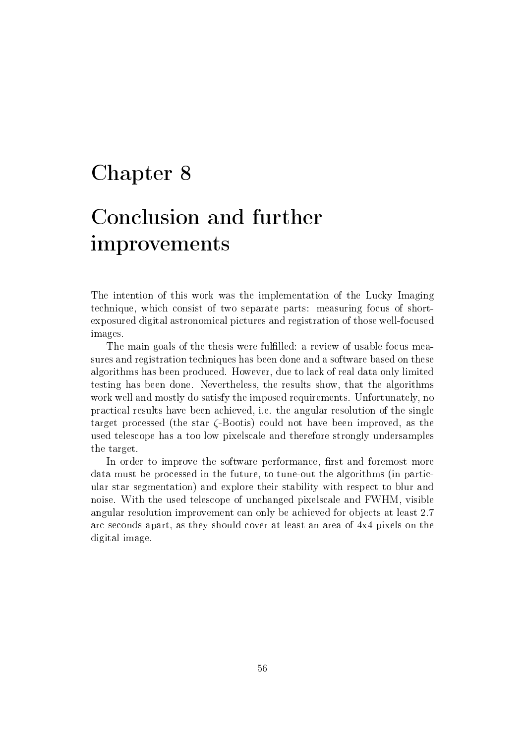# Chapter 8

# Conclusion and further improvements

The intention of this work was the implementation of the Lucky Imaging technique, which consist of two separate parts: measuring focus of shortexposured digital astronomical pictures and registration of those well-focused images.

The main goals of the thesis were fulfilled: a review of usable focus measures and registration techniques has been done and a software based on these algorithms has been produced. However, due to lack of real data only limited testing has been done. Nevertheless, the results show, that the algorithms work well and mostly do satisfy the imposed requirements. Unfortunately, no practical results have been achieved, i.e. the angular resolution of the single target processed (the star ζ-Bootis) could not have been improved, as the used telescope has a too low pixelscale and therefore strongly undersamples the target.

In order to improve the software performance, first and foremost more data must be processed in the future, to tune-out the algorithms (in particular star segmentation) and explore their stability with respect to blur and noise. With the used telescope of unchanged pixelscale and FWHM, visible angular resolution improvement can only be achieved for objects at least 2.7 arc seconds apart, as they should cover at least an area of 4x4 pixels on the digital image.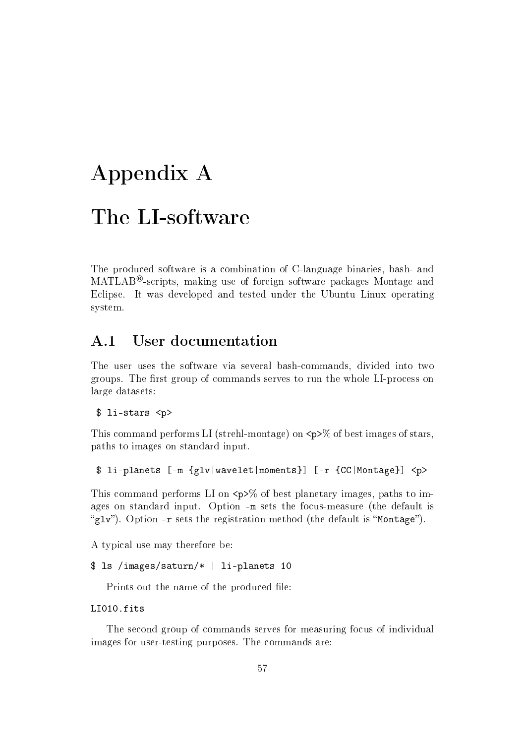# Appendix A

# The LI-software

The produced software is a combination of C-language binaries, bash- and  $\text{MATLAB}^{\otimes}$ -scripts, making use of foreign software packages Montage and Eclipse. It was developed and tested under the Ubuntu Linux operating system.

## A.1 User documentation

The user uses the software via several bash-commands, divided into two groups. The first group of commands serves to run the whole LI-process on large datasets:

```
$ li-stars <p>
```
This command performs LI (strehl-montage) on  $\langle p \rangle$  of best images of stars, paths to images on standard input.

\$ li-planets [-m {glv|wavelet|moments}] [-r {CC|Montage}] <p>

This command performs LI on  $\langle p \rangle$  of best planetary images, paths to images on standard input. Option -m sets the focus-measure (the default is "glv"). Option  $-r$  sets the registration method (the default is "Montage").

A typical use may therefore be:

```
$ ls /images/saturn/* | li-planets 10
```
Prints out the name of the produced file:

```
LI010.fits
```
The second group of commands serves for measuring focus of individual images for user-testing purposes. The commands are: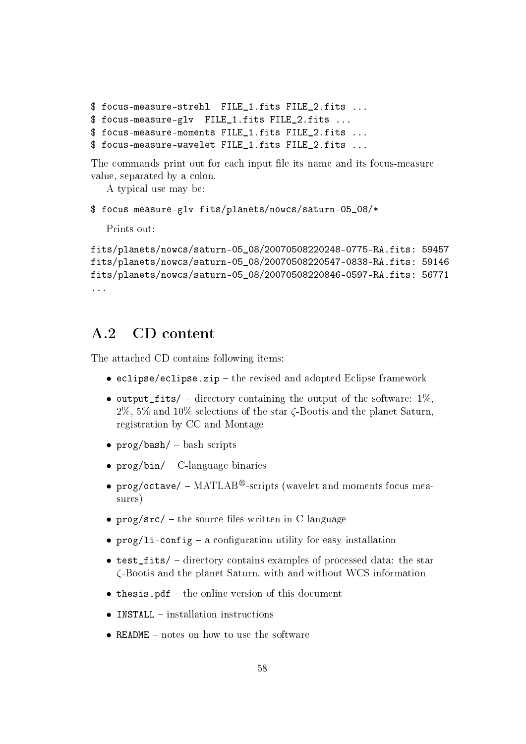```
$ focus-measure-strehl FILE_1.fits FILE_2.fits ...
$ focus-measure-glv FILE_1.fits FILE_2.fits ...
$ focus-measure-moments FILE_1.fits FILE_2.fits ...
$ focus-measure-wavelet FILE_1.fits FILE_2.fits ...
```
The commands print out for each input file its name and its focus-measure value, separated by a colon.

A typical use may be:

```
$ focus-measure-glv fits/planets/nowcs/saturn-05_08/*
```
Prints out:

```
fits/planets/nowcs/saturn-05_08/20070508220248-0775-RA.fits: 59457
fits/planets/nowcs/saturn-05_08/20070508220547-0838-RA.fits: 59146
fits/planets/nowcs/saturn-05_08/20070508220846-0597-RA.fits: 56771
...
```
## A.2 CD content

The attached CD contains following items:

- eclipse/eclipse.zip  $-$  the revised and adopted Eclipse framework
- output\_fits/ directory containing the output of the software:  $1\%$ ,  $2\%$ , 5% and 10% selections of the star  $\zeta$ -Bootis and the planet Saturn. registration by CC and Montage
- $prog/bash/ bash$  scripts
- $\text{prog/bin} / \text{C-language binaries}$
- prog/octave/  $-$  MATLAB<sup>®</sup>-scripts (wavelet and moments focus measures)
- $\text{prog}/\text{src}/$  the source files written in C language
- $\text{prog/li-config a configuration utility for easy installation}$
- test\_fits/  $-$  directory contains examples of processed data: the star ζ-Bootis and the planet Saturn, with and without WCS information
- $\bullet$  thesis.pdf the online version of this document
- INSTALL  $-$  installation instructions
- README  $-$  notes on how to use the software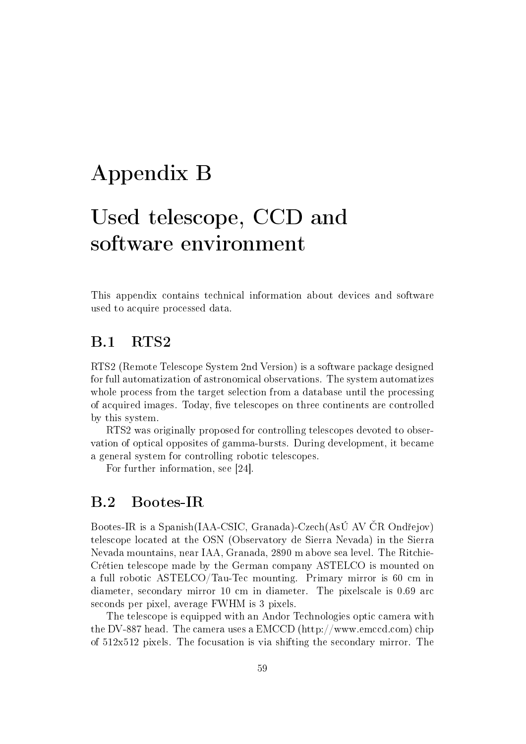# Appendix B

# Used telescope, CCD and software environment

This appendix contains technical information about devices and software used to acquire processed data.

## B.1 RTS2

RTS2 (Remote Telescope System 2nd Version) is a software package designed for full automatization of astronomical observations. The system automatizes whole process from the target selection from a database until the processing of acquired images. Today, five telescopes on three continents are controlled by this system.

RTS2 was originally proposed for controlling telescopes devoted to observation of optical opposites of gamma-bursts. During development, it became a general system for controlling robotic telescopes.

For further information, see [24].

## B.2 Bootes-IR

Bootes-IR is a Spanish(IAA-CSIC, Granada)-Czech(AsÚ AV ČR Ondřejov) telescope located at the OSN (Observatory de Sierra Nevada) in the Sierra Nevada mountains, near IAA, Granada, 2890 m above sea level. The Ritchie-Crétien telescope made by the German company ASTELCO is mounted on a full robotic ASTELCO/Tau-Tec mounting. Primary mirror is 60 cm in diameter, secondary mirror 10 cm in diameter. The pixelscale is 0.69 arc seconds per pixel, average FWHM is 3 pixels.

The telescope is equipped with an Andor Technologies optic camera with the DV-887 head. The camera uses a EMCCD (http://www.emccd.com) chip of 512x512 pixels. The focusation is via shifting the secondary mirror. The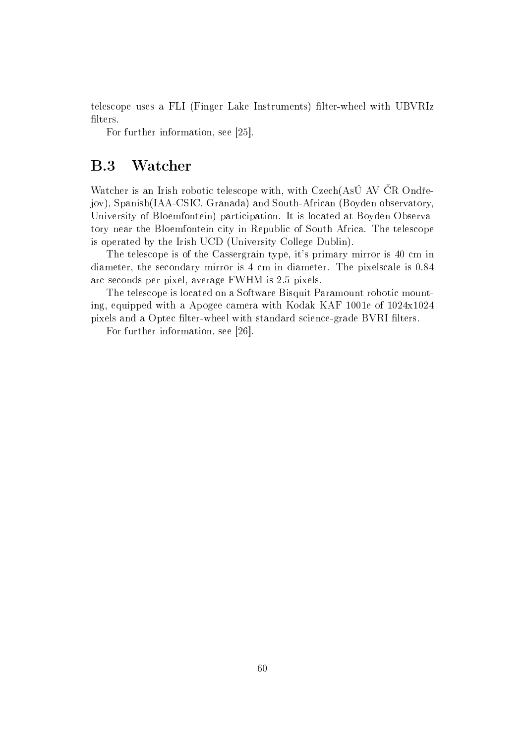telescope uses a FLI (Finger Lake Instruments) filter-wheel with UBVRIz filters.

For further information, see [25].

## B.3 Watcher

Watcher is an Irish robotic telescope with, with Czech(AsÚ AV ČR Ondřejov), Spanish(IAA-CSIC, Granada) and South-African (Boyden observatory, University of Bloemfontein) participation. It is located at Boyden Observatory near the Bloemfontein city in Republic of South Africa. The telescope is operated by the Irish UCD (University College Dublin).

The telescope is of the Cassergrain type, it's primary mirror is 40 cm in diameter, the secondary mirror is 4 cm in diameter. The pixelscale is 0.84 arc seconds per pixel, average FWHM is 2.5 pixels.

The telescope is located on a Software Bisquit Paramount robotic mounting, equipped with a Apogee camera with Kodak KAF 1001e of 1024x1024 pixels and a Optec filter-wheel with standard science-grade BVRI filters.

For further information, see [26].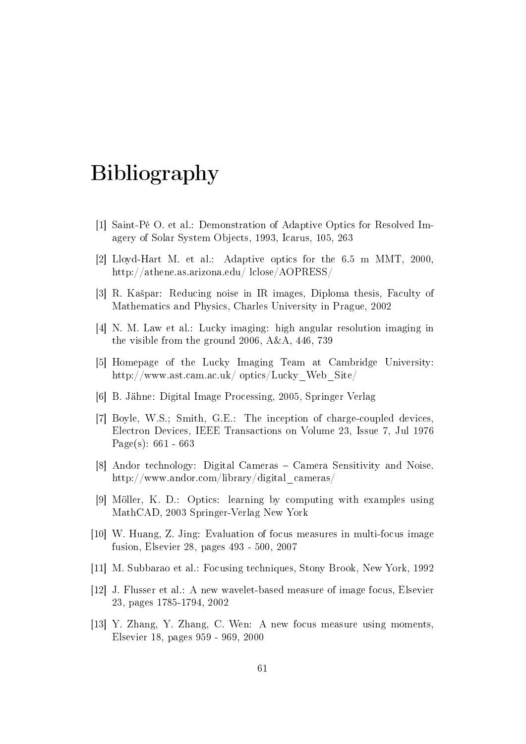# Bibliography

- [1] Saint-Pé O. et al.: Demonstration of Adaptive Optics for Resolved Imagery of Solar System Objects, 1993, Icarus, 105, 263
- [2] Lloyd-Hart M. et al.: Adaptive optics for the 6.5 m MMT, 2000, http://athene.as.arizona.edu/ lclose/AOPRESS/
- [3] R. Kašpar: Reducing noise in IR images, Diploma thesis, Faculty of Mathematics and Physics, Charles University in Prague, 2002
- [4] N. M. Law et al.: Lucky imaging: high angular resolution imaging in the visible from the ground 2006, A&A, 446, 739
- [5] Homepage of the Lucky Imaging Team at Cambridge University: http://www.ast.cam.ac.uk/ optics/Lucky\_Web\_Site/
- [6] B. Jähne: Digital Image Processing, 2005, Springer Verlag
- [7] Boyle, W.S.; Smith, G.E.: The inception of charge-coupled devices, Electron Devices, IEEE Transactions on Volume 23, Issue 7, Jul 1976 Page(s):  $661 - 663$
- [8] Andor technology: Digital Cameras Camera Sensitivity and Noise. http://www.andor.com/library/digital\_cameras/
- [9] Möller, K. D.: Optics: learning by computing with examples using MathCAD, 2003 Springer-Verlag New York
- [10] W. Huang, Z. Jing: Evaluation of focus measures in multi-focus image fusion, Elsevier 28, pages 493 - 500, 2007
- [11] M. Subbarao et al.: Focusing techniques, Stony Brook, New York, 1992
- [12] J. Flusser et al.: A new wavelet-based measure of image focus, Elsevier 23, pages 1785-1794, 2002
- [13] Y. Zhang, Y. Zhang, C. Wen: A new focus measure using moments, Elsevier 18, pages 959 - 969, 2000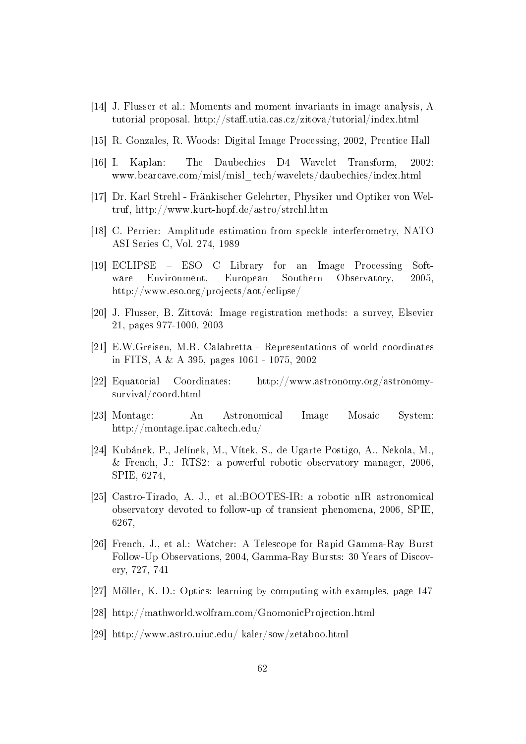- [14] J. Flusser et al.: Moments and moment invariants in image analysis, A tutorial proposal. http://staff.utia.cas.cz/zitova/tutorial/index.html
- [15] R. Gonzales, R. Woods: Digital Image Processing, 2002, Prentice Hall
- [16] I. Kaplan: The Daubechies D4 Wavelet Transform, 2002: www.bearcave.com/misl/misl\_tech/wavelets/daubechies/index.html
- [17] Dr. Karl Strehl Fränkischer Gelehrter, Physiker und Optiker von Weltruf, http://www.kurt-hopf.de/astro/strehl.htm
- [18] C. Perrier: Amplitude estimation from speckle interferometry, NATO ASI Series C, Vol. 274, 1989
- [19] ECLIPSE ESO C Library for an Image Processing Software Environment, European Southern Observatory, 2005, http://www.eso.org/projects/aot/eclipse/
- [20] J. Flusser, B. Zittová: Image registration methods: a survey, Elsevier 21, pages 977-1000, 2003
- [21] E.W.Greisen, M.R. Calabretta Representations of world coordinates in FITS, A & A 395, pages 1061 - 1075, 2002
- [22] Equatorial Coordinates: http://www.astronomy.org/astronomysurvival/coord.html
- [23] Montage: An Astronomical Image Mosaic System: http://montage.ipac.caltech.edu/
- [24] Kubánek, P., Jelínek, M., Vítek, S., de Ugarte Postigo, A., Nekola, M., & French, J.: RTS2: a powerful robotic observatory manager, 2006, SPIE, 6274,
- [25] Castro-Tirado, A. J., et al.:BOOTES-IR: a robotic nIR astronomical observatory devoted to follow-up of transient phenomena, 2006, SPIE, 6267,
- [26] French, J., et al.: Watcher: A Telescope for Rapid Gamma-Ray Burst Follow-Up Observations, 2004, Gamma-Ray Bursts: 30 Years of Discovery, 727, 741
- [27] Möller, K. D.: Optics: learning by computing with examples, page 147
- [28] http://mathworld.wolfram.com/GnomonicProjection.html
- [29] http://www.astro.uiuc.edu/ kaler/sow/zetaboo.html